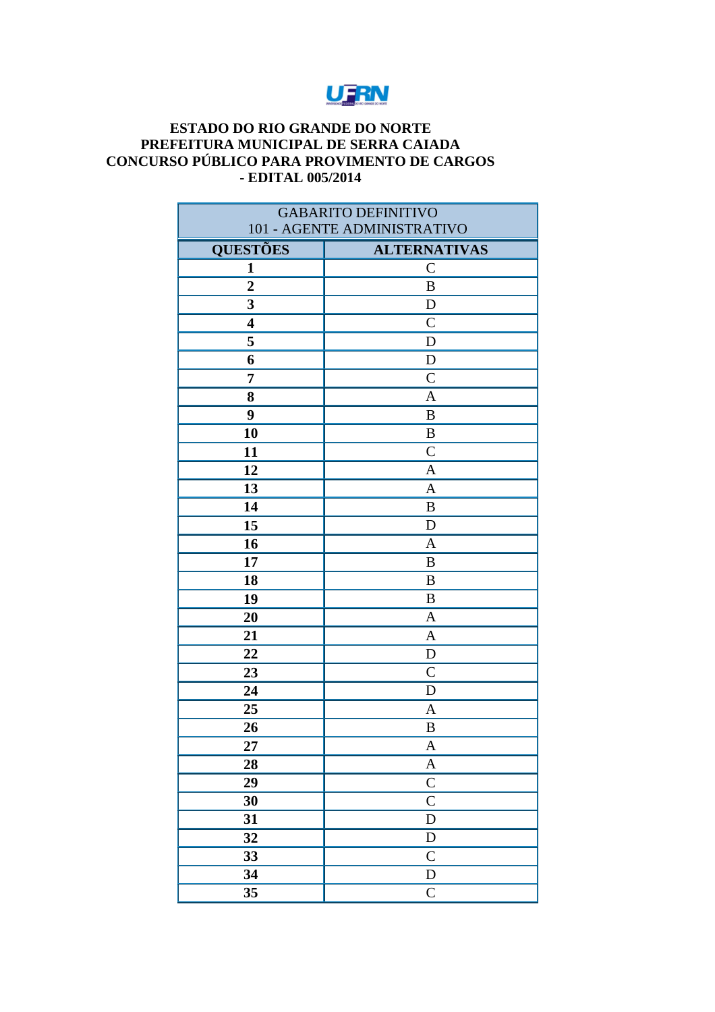## UFRN

## **ESTADO DO RIO GRANDE DO NORTE** PREFEITURA MUNICIPAL DE SERRA CAIADA CONCURSO PÚBLICO PARA PROVIMENTO DE CARGOS - EDITAL 005/2014

| <b>GABARITO DEFINITIVO</b> |                             |
|----------------------------|-----------------------------|
|                            | 101 - AGENTE ADMINISTRATIVO |
| <b>QUESTÕES</b>            | <b>ALTERNATIVAS</b>         |
| $\mathbf{1}$               | $\mathcal{C}$               |
| $\overline{2}$             | $\boldsymbol{B}$            |
| 3                          | D                           |
| $\overline{\mathbf{4}}$    | $\mathsf{C}$                |
| 5                          | $\mathbf D$                 |
| 6                          | $\mathbf D$                 |
| 7                          | $\mathcal{C}$               |
| 8                          | $\mathbf{A}$                |
| 9                          | $\mathbf B$                 |
| 10                         | $\boldsymbol{B}$            |
| 11                         | $\mathcal{C}$               |
| 12                         | $\mathbf{A}$                |
| 13                         | A                           |
| 14                         | B                           |
| 15                         | $\mathbf D$                 |
| 16                         | $\mathbf{A}$                |
| 17                         | B                           |
| 18                         | $\bf{B}$                    |
| 19                         | $\boldsymbol{B}$            |
| 20                         | $\mathbf{A}$                |
| 21                         | $\mathbf{A}$                |
| 22                         | $\mathbf D$                 |
| 23                         | $\mathcal{C}$               |
| 24                         | D                           |
| 25                         | $\mathbf{A}$                |
| 26                         | $\boldsymbol{B}$            |
| 27                         | $\mathbf{A}$                |
| 28                         | $\boldsymbol{A}$            |
| 29                         | $\overline{\mathrm{C}}$     |
| 30                         | $\overline{\mathsf{C}}$     |
| 31                         | $\mathbf D$                 |
| 32                         | ${\bf D}$                   |
| 33                         | $\overline{C}$              |
| 34                         | ${\rm D}$                   |
| 35                         | $\overline{C}$              |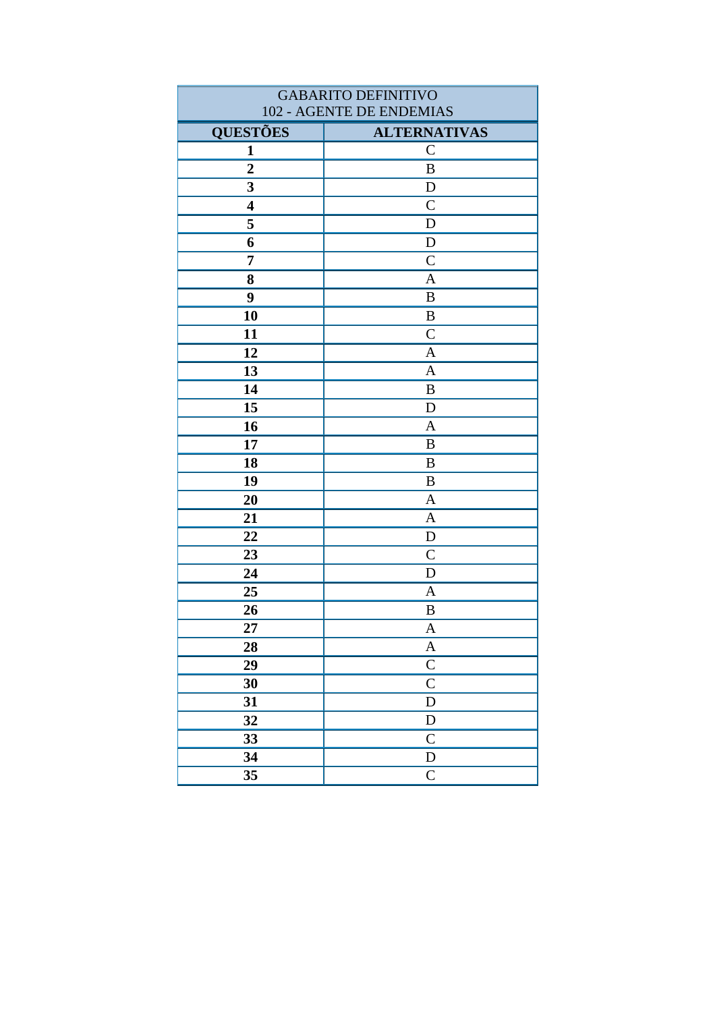| <b>GABARITO DEFINITIVO</b><br>102 - AGENTE DE ENDEMIAS |                       |
|--------------------------------------------------------|-----------------------|
| <b>QUESTÕES</b>                                        | <b>ALTERNATIVAS</b>   |
| 1                                                      | $\mathsf{C}$          |
| $\overline{2}$                                         | $\, {\bf B}$          |
| 3                                                      | D                     |
| $\overline{\mathbf{4}}$                                | $\overline{C}$        |
| 5                                                      | D                     |
| 6                                                      | $\mathbf D$           |
| 7                                                      | $\mathcal{C}$         |
| 8                                                      | $\mathbf{A}$          |
| 9                                                      | $\bf{B}$              |
| 10                                                     | $\, {\bf B}$          |
| 11                                                     | $\mathcal{C}$         |
| 12                                                     | $\mathbf{A}$          |
| 13                                                     | $\overline{A}$        |
| 14                                                     | $\bf{B}$              |
| 15                                                     | $\mathbf D$           |
| 16                                                     | $\mathbf{A}$          |
| 17                                                     | B                     |
| 18                                                     | $\boldsymbol{B}$      |
| 19                                                     | $\, {\bf B}$          |
| 20                                                     | $\mathbf{A}$          |
| 21                                                     | $\mathbf{A}$          |
| 22                                                     | D                     |
| 23                                                     | $\mathcal{C}$         |
| 24                                                     | D                     |
| 25                                                     | A                     |
| 26                                                     | $\boldsymbol{B}$      |
| 27                                                     | A                     |
| 28                                                     | $\boldsymbol{\rm{A}}$ |
| 29                                                     | $\mathbf C$           |
| 30                                                     | $\mathbf C$           |
| 31                                                     | ${\bf D}$             |
| 32                                                     | ${\bf D}$             |
| 33                                                     | $\mathsf{C}$          |
| 34                                                     | ${\bf D}$             |
| 35                                                     | ${\bf C}$             |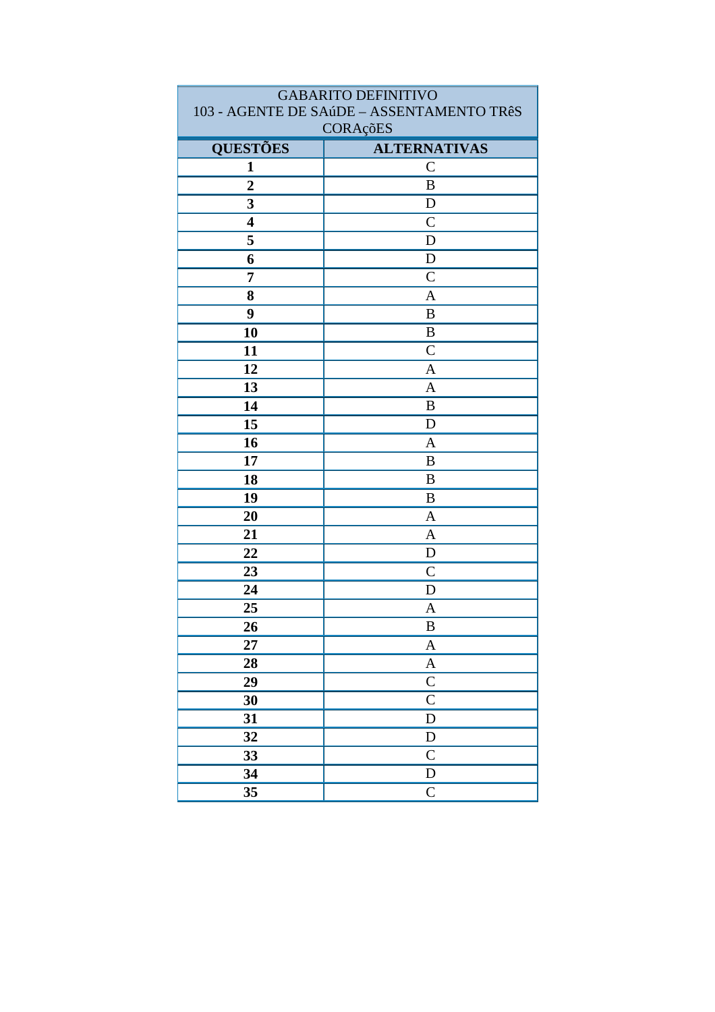| <b>GABARITO DEFINITIVO</b>                |                     |
|-------------------------------------------|---------------------|
| 103 - AGENTE DE SAúDE - ASSENTAMENTO TRêS |                     |
| CORAçõES                                  |                     |
| <b>QUESTÕES</b>                           | <b>ALTERNATIVAS</b> |
| 1                                         | $\mathsf{C}$        |
| $\overline{2}$                            | $\bf{B}$            |
| 3                                         | D                   |
| $\overline{\mathbf{4}}$                   | $\mathcal{C}$       |
| 5                                         | D                   |
| 6                                         | D                   |
| 7                                         | $\mathcal{C}$       |
| 8                                         | $\mathbf{A}$        |
| 9                                         | B                   |
| 10                                        | $\boldsymbol{B}$    |
| 11                                        | $\overline{C}$      |
| 12                                        | $\mathbf{A}$        |
| 13                                        | $\overline{A}$      |
| 14                                        | B                   |
| 15                                        | D                   |
| 16                                        | $\mathbf{A}$        |
| 17                                        | $\bf{B}$            |
| 18                                        | B                   |
| 19                                        | B                   |
| 20                                        | A                   |
| 21                                        | $\mathbf{A}$        |
| 22                                        | D                   |
| 23                                        | $\mathcal{C}$       |
| 24                                        | D                   |
| 25                                        | A                   |
| <b>26</b>                                 | $\, {\bf B}$        |
| 27                                        | A                   |
| 28                                        | $\boldsymbol{A}$    |
| 29                                        | $\mathbf C$         |
| 30                                        | $\mathsf{C}$        |
| 31                                        | D                   |
| 32                                        | ${\rm D}$           |
| 33                                        | $\overline{C}$      |
| 34                                        | ${\bf D}$           |
| 35                                        | $\mathbf C$         |
|                                           |                     |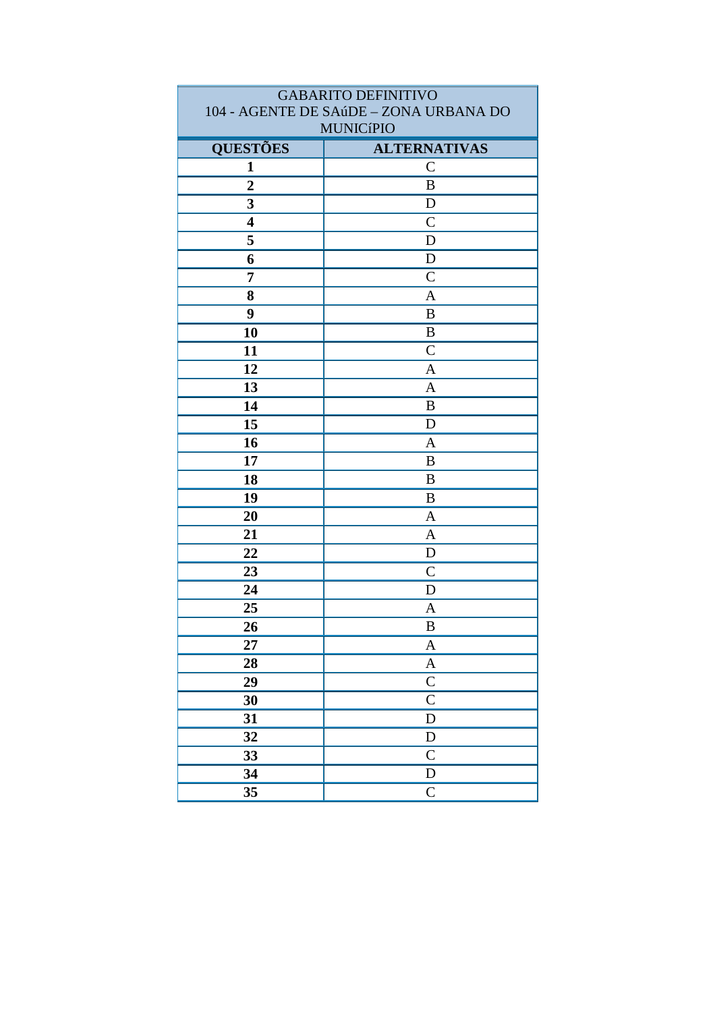| <b>GABARITO DEFINITIVO</b><br>104 - AGENTE DE SAúDE - ZONA URBANA DO |                     |
|----------------------------------------------------------------------|---------------------|
| <b>MUNICíPIO</b>                                                     |                     |
| <b>QUESTÕES</b>                                                      | <b>ALTERNATIVAS</b> |
| 1                                                                    | $\mathsf{C}$        |
| $\overline{2}$                                                       | $\bf{B}$            |
| 3                                                                    | D                   |
| $\overline{\mathbf{4}}$                                              | $\mathcal{C}$       |
| 5                                                                    | D                   |
| 6                                                                    | D                   |
| 7                                                                    | $\mathcal{C}$       |
| 8                                                                    | $\mathbf{A}$        |
| 9                                                                    | B                   |
| 10                                                                   | B                   |
| 11                                                                   | $\mathcal{C}$       |
| 12                                                                   | $\mathbf{A}$        |
| 13                                                                   | $\overline{A}$      |
| 14                                                                   | B                   |
| 15                                                                   | D                   |
| 16                                                                   | $\mathbf{A}$        |
| 17                                                                   | $\bf{B}$            |
| 18                                                                   | B                   |
| 19                                                                   | B                   |
| 20                                                                   | A                   |
| 21                                                                   | $\mathbf{A}$        |
| 22                                                                   | D                   |
| 23                                                                   | $\mathcal{C}$       |
| 24                                                                   | D                   |
| 25                                                                   | A                   |
| 26                                                                   | $\, {\bf B}$        |
| 27                                                                   | A                   |
| 28                                                                   | $\boldsymbol{A}$    |
| 29                                                                   | $\mathbf C$         |
| 30                                                                   | $\mathsf{C}$        |
| 31                                                                   | D                   |
| 32                                                                   | ${\rm D}$           |
| 33                                                                   | $\overline{C}$      |
| 34                                                                   | ${\bf D}$           |
| 35                                                                   | $\mathbf C$         |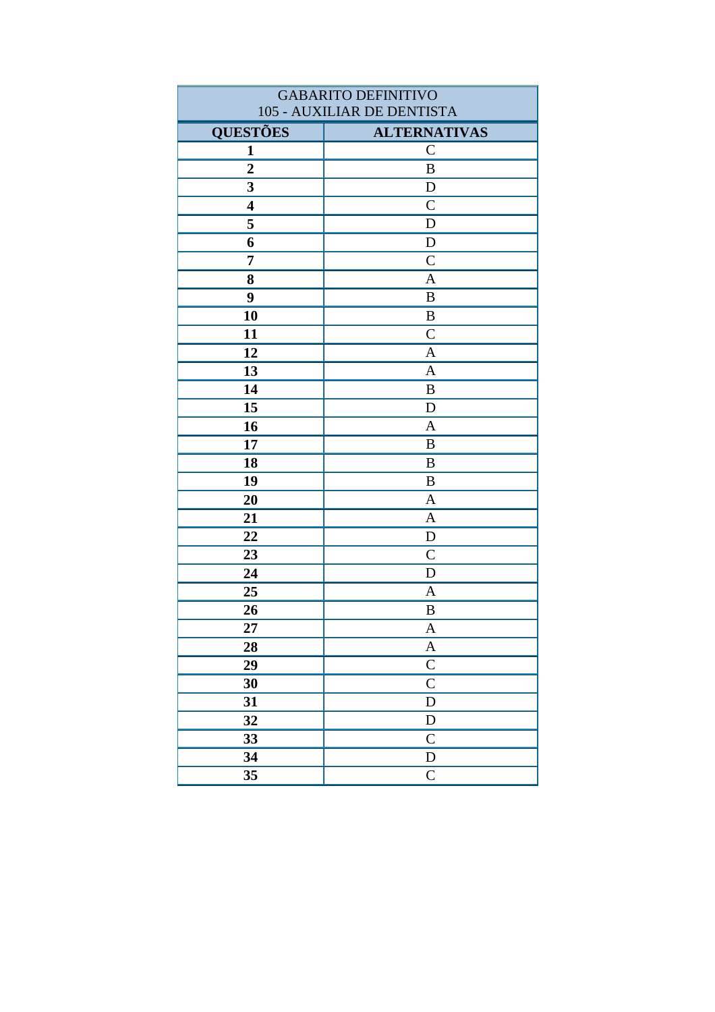| <b>GABARITO DEFINITIVO</b><br>105 - AUXILIAR DE DENTISTA |                                      |
|----------------------------------------------------------|--------------------------------------|
|                                                          |                                      |
| <b>QUESTÕES</b>                                          | <b>ALTERNATIVAS</b><br>$\mathcal{C}$ |
| 1<br>$\overline{2}$                                      | $\, {\bf B}$                         |
| 3                                                        |                                      |
| $\overline{\mathbf{4}}$                                  | D<br>$\mathcal{C}$                   |
|                                                          |                                      |
| 5                                                        | D                                    |
| 6                                                        | $\mathbf D$<br>$\overline{C}$        |
| $\overline{7}$                                           |                                      |
| 8                                                        | $\mathbf{A}$                         |
| 9                                                        | B                                    |
| 10                                                       | B                                    |
| 11                                                       | $\mathcal{C}$                        |
| 12                                                       | $\mathbf{A}$                         |
| 13                                                       | $\overline{A}$                       |
| 14                                                       | $\bf{B}$                             |
| 15                                                       | D                                    |
| 16                                                       | $\mathbf{A}$                         |
| 17                                                       | $\, {\bf B}$                         |
| 18                                                       | $\bf{B}$                             |
| 19                                                       | B                                    |
| 20                                                       | $\mathbf{A}$                         |
| 21                                                       | $\mathbf{A}$                         |
| 22                                                       | $\mathbf D$                          |
| 23                                                       | $\mathcal{C}$                        |
| 24                                                       | D                                    |
| 25                                                       | A                                    |
| 26                                                       | $\, {\bf B}$                         |
| 27                                                       | A                                    |
| 28                                                       | $\boldsymbol{A}$                     |
| 29                                                       | $\mathbf C$                          |
| 30                                                       | $\mathsf{C}$                         |
| 31                                                       | D                                    |
| 32                                                       | ${\rm D}$                            |
| 33                                                       | $\mathsf{C}$                         |
| 34                                                       | ${\bf D}$                            |
| 35                                                       | $\mathsf{C}$                         |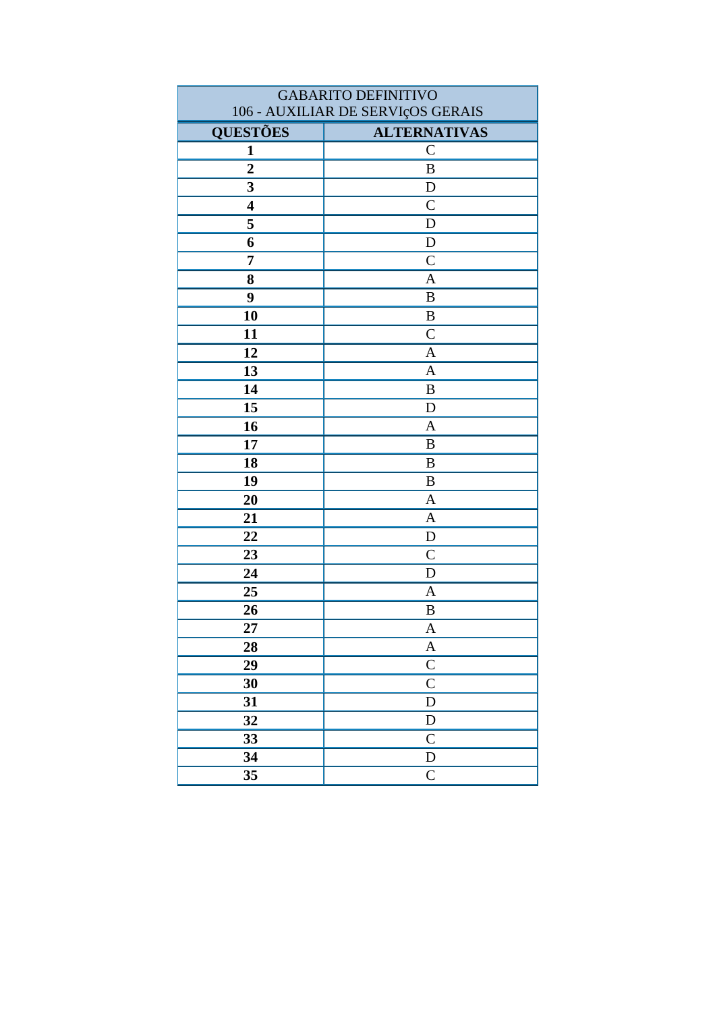| <b>GABARITO DEFINITIVO</b> |                                   |
|----------------------------|-----------------------------------|
|                            | 106 - AUXILIAR DE SERVIçOS GERAIS |
| <b>QUESTÕES</b>            | <b>ALTERNATIVAS</b>               |
| $\mathbf{1}$               | $\mathcal{C}$                     |
| $\overline{2}$             | $\bf{B}$                          |
| 3                          | $\mathbf D$                       |
| $\overline{\mathbf{4}}$    | $\overline{C}$                    |
| 5                          | D                                 |
| 6                          | $\mathbf D$                       |
| 7                          | $\mathcal{C}$                     |
| 8                          | $\overline{A}$                    |
| 9                          | $\bf{B}$                          |
| 10                         | $\, {\bf B}$                      |
| 11                         | $\overline{C}$                    |
| 12                         | $\overline{A}$                    |
| 13                         | $\mathbf{A}$                      |
| 14                         | B                                 |
| 15                         | D                                 |
| 16                         | $\mathbf{A}$                      |
| 17                         | $\bf{B}$                          |
| 18                         | B                                 |
| 19                         | $\bf{B}$                          |
| 20                         | $\mathbf{A}$                      |
| 21                         | $\mathbf{A}$                      |
| 22                         | D                                 |
| 23                         | $\mathcal{C}$                     |
| 24                         | $\mathbf D$                       |
| 25                         | $\mathbf{A}$                      |
| 26                         | $\bf{B}$                          |
| 27                         | A                                 |
| 28                         | $\boldsymbol{A}$                  |
| 29                         | $\mathbf C$                       |
| 30                         | $\overline{C}$                    |
| 31                         | ${\bf D}$                         |
| 32                         | ${\rm D}$                         |
| 33                         | $\mathbf C$                       |
| 34                         | ${\rm D}$                         |
| 35                         | $\mathsf{C}$                      |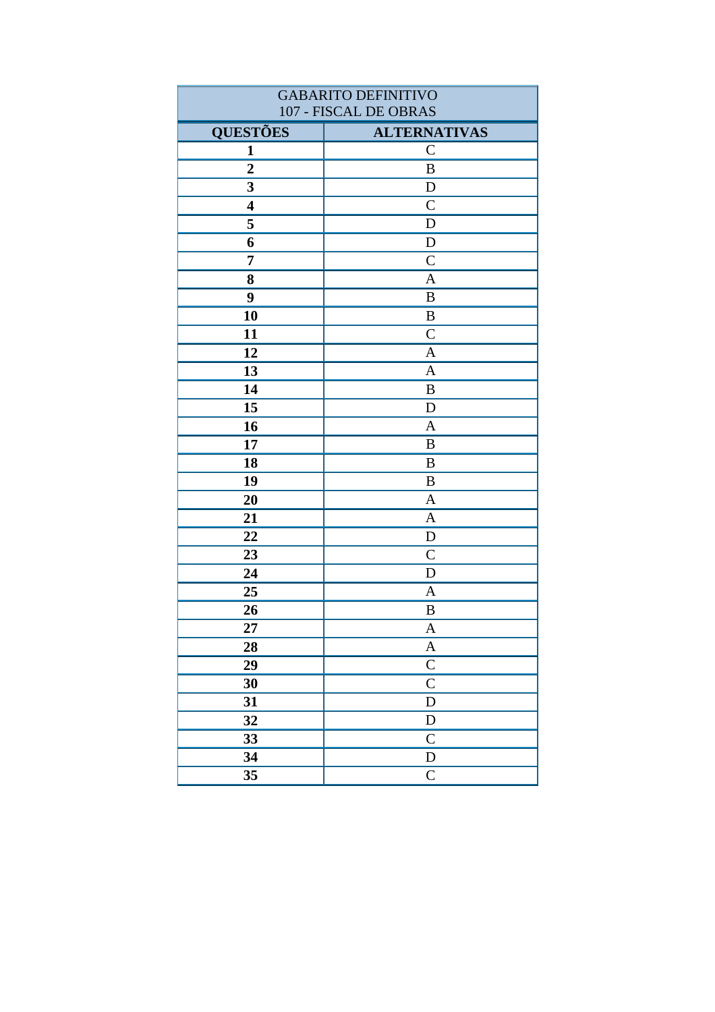| <b>GABARITO DEFINITIVO</b> |                     |
|----------------------------|---------------------|
| 107 - FISCAL DE OBRAS      |                     |
| <b>QUESTÕES</b>            | <b>ALTERNATIVAS</b> |
| 1                          | $\mathbf C$         |
| $\overline{2}$             | $\, {\bf B}$        |
| 3                          | D                   |
| $\overline{\mathbf{4}}$    | $\mathcal{C}$       |
| 5                          | D                   |
| 6                          | ${\bf D}$           |
| 7                          | $\mathcal{C}$       |
| 8                          | $\mathbf{A}$        |
| 9                          | B                   |
| 10                         | B                   |
| 11                         | $\mathcal{C}$       |
| 12                         | $\mathbf{A}$        |
| 13                         | $\overline{A}$      |
| 14                         | B                   |
| 15                         | D                   |
| 16                         | $\mathbf{A}$        |
| 17                         | $\, {\bf B}$        |
| 18                         | $\, {\bf B}$        |
| 19                         | B                   |
| 20                         | $\mathbf{A}$        |
| 21                         | $\mathbf{A}$        |
| 22                         | D                   |
| 23                         | $\mathcal{C}$       |
| 24                         | D                   |
| 25                         | A                   |
| 26                         | $\, {\bf B}$        |
| 27                         | A                   |
| 28                         | $\boldsymbol{A}$    |
| 29                         | $\mathsf C$         |
| 30                         | $\overline{C}$      |
| 31                         | D                   |
| 32                         | ${\bf D}$           |
| 33                         | $\mathsf{C}$        |
| 34                         | ${\bf D}$           |
| 35                         | $\mathsf{C}$        |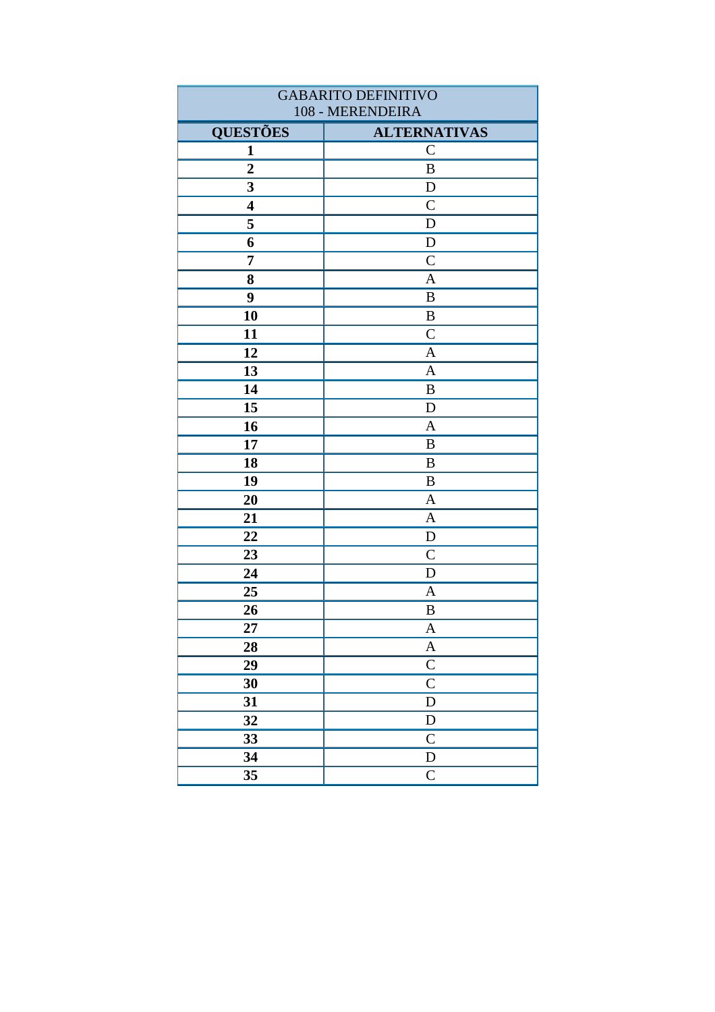| <b>GABARITO DEFINITIVO</b> |                           |
|----------------------------|---------------------------|
|                            | 108 - MERENDEIRA          |
| <b>QUESTÕES</b>            | <b>ALTERNATIVAS</b>       |
| $\mathbf{1}$               | $\mathbf C$               |
| $\overline{2}$             | $\, {\bf B}$              |
| $\overline{\mathbf{3}}$    | $\mathbf D$               |
| $\overline{\mathbf{4}}$    | $\mathsf{C}$              |
| 5                          | $\mathbf D$               |
| 6                          | ${\bf D}$                 |
| $\overline{7}$             | $\mathcal{C}$             |
| 8                          | A                         |
| 9                          | $\, {\bf B}$              |
| 10                         | B                         |
| 11                         | $\overline{C}$            |
| 12                         | $\mathbf{A}$              |
| 13                         | $\mathbf{A}$              |
| 14                         | B                         |
| 15                         | $\mathbf D$               |
| 16                         | $\mathbf{A}$              |
| 17                         | B                         |
| 18                         | B                         |
| 19                         | B                         |
| 20                         | $\mathbf{A}$              |
| 21                         | $\mathbf{A}$              |
| 22                         | $\mathbf D$               |
| 23                         | $\mathcal{C}$             |
| 24                         | $\mathbf D$               |
| 25                         | $\mathbf{A}$              |
| 26                         | $\, {\bf B}$              |
| 27                         | $\boldsymbol{A}$          |
| 28                         | $\boldsymbol{A}$          |
| 29                         | $\overline{C}$            |
| 30                         | $\overline{\overline{C}}$ |
| 31                         | D                         |
| 32                         | ${\bf D}$                 |
| 33                         | $\mathbf C$               |
| 34                         | ${\bf D}$                 |
| 35                         | $\mathsf{C}$              |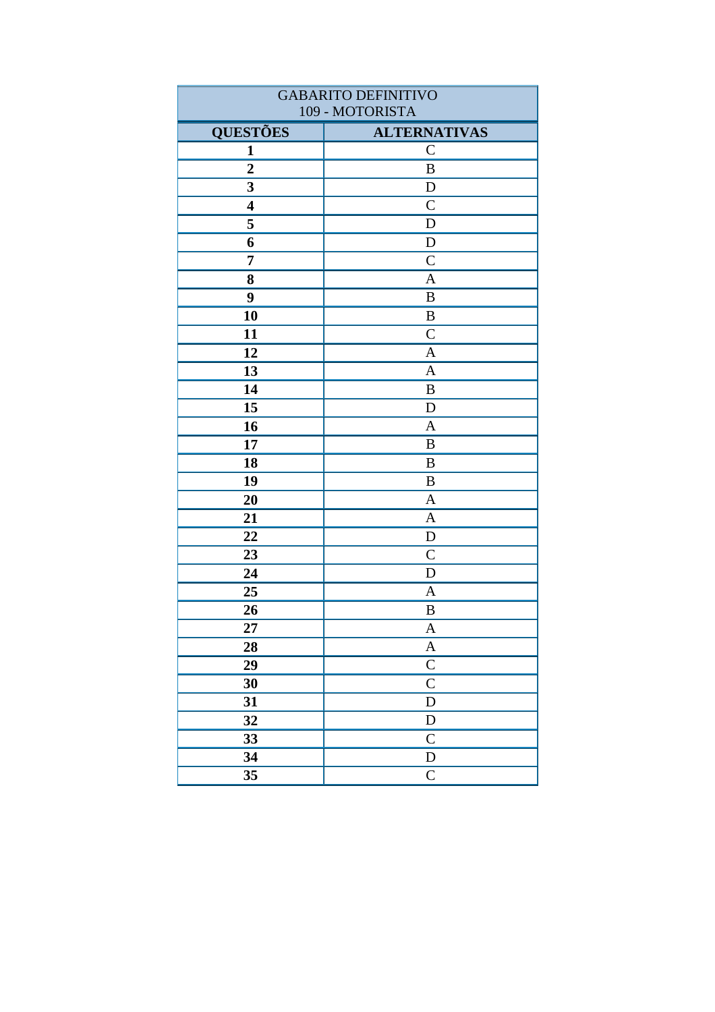| <b>GABARITO DEFINITIVO</b> |                           |
|----------------------------|---------------------------|
|                            | 109 - MOTORISTA           |
| <b>QUESTÕES</b>            | <b>ALTERNATIVAS</b>       |
| $\mathbf{1}$               | $\mathbf C$               |
| $\overline{2}$             | $\, {\bf B}$              |
| $\overline{\mathbf{3}}$    | $\mathbf D$               |
| $\overline{\mathbf{4}}$    | $\mathcal{C}$             |
| 5                          | $\mathbf D$               |
| 6                          | ${\bf D}$                 |
| $\overline{7}$             | $\mathcal{C}$             |
| 8                          | A                         |
| 9                          | $\, {\bf B}$              |
| 10                         | B                         |
| 11                         | $\overline{C}$            |
| 12                         | $\mathbf{A}$              |
| 13                         | $\mathbf{A}$              |
| 14                         | B                         |
| 15                         | $\mathbf D$               |
| 16                         | $\mathbf{A}$              |
| 17                         | B                         |
| 18                         | B                         |
| 19                         | B                         |
| 20                         | $\mathbf{A}$              |
| 21                         | $\mathbf{A}$              |
| 22                         | $\mathbf D$               |
| 23                         | $\mathcal{C}$             |
| 24                         | $\mathbf D$               |
| 25                         | $\mathbf{A}$              |
| 26                         | $\, {\bf B}$              |
| 27                         | $\boldsymbol{A}$          |
| 28                         | $\boldsymbol{A}$          |
| 29                         | $\overline{C}$            |
| 30                         | $\overline{\overline{C}}$ |
| 31                         | D                         |
| 32                         | ${\bf D}$                 |
| 33                         | $\mathbf C$               |
| 34                         | ${\bf D}$                 |
| 35                         | $\mathsf{C}$              |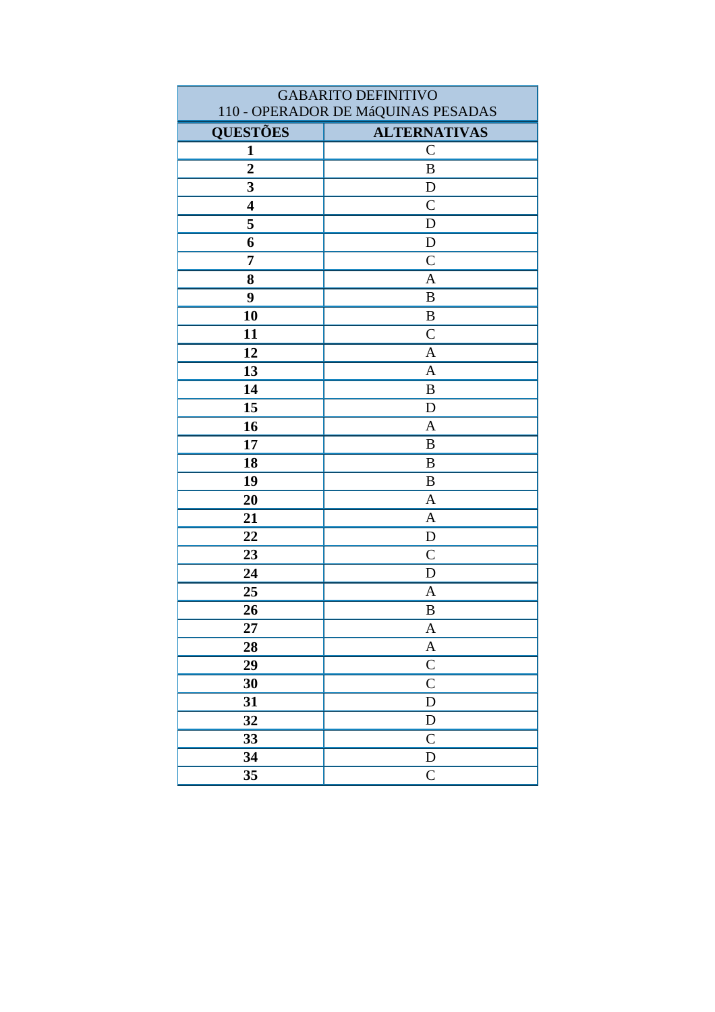| <b>GABARITO DEFINITIVO</b> |                                    |
|----------------------------|------------------------------------|
|                            | 110 - OPERADOR DE MáQUINAS PESADAS |
| <b>QUESTÕES</b>            | <b>ALTERNATIVAS</b>                |
| $\mathbf{1}$               | $\mathcal{C}$                      |
| $\overline{2}$             | $\, {\bf B}$                       |
| 3                          | D                                  |
| $\overline{\mathbf{4}}$    | $\mathcal{C}$                      |
| 5                          | $\mathbf D$                        |
| 6                          | $\mathbf D$                        |
| 7                          | $\overline{C}$                     |
| 8                          | $\overline{A}$                     |
| 9                          | $\bf{B}$                           |
| 10                         | $\bf{B}$                           |
| 11                         | $\mathcal{C}$                      |
| 12                         | $\mathbf{A}$                       |
| 13                         | $\mathbf{A}$                       |
| 14                         | B                                  |
| 15                         | D                                  |
| 16                         | $\mathbf{A}$                       |
| 17                         | $\, {\bf B}$                       |
| 18                         | $\bf{B}$                           |
| 19                         | B                                  |
| 20                         | $\mathbf{A}$                       |
| 21                         | $\mathbf{A}$                       |
| 22                         | $\mathbf D$                        |
| 23                         | $\mathcal{C}$                      |
| 24                         | D                                  |
| 25                         | $\mathbf{A}$                       |
| 26                         | B                                  |
| 27                         | A                                  |
| 28                         | $\mathbf A$                        |
| 29                         | $\mathbf C$                        |
| 30                         | $\overline{C}$                     |
| 31                         | $\mathbf D$                        |
| 32                         | ${\rm D}$                          |
| 33                         | $\mathsf{C}$                       |
| 34                         | ${\bf D}$                          |
| 35                         | $\mathsf{C}$                       |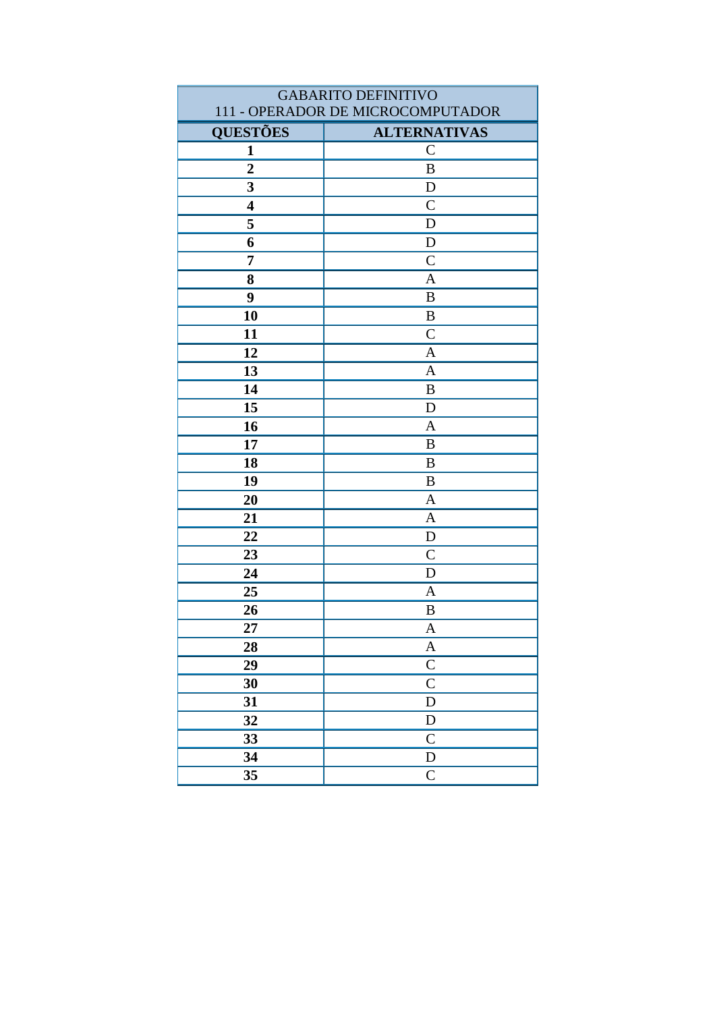| <b>GABARITO DEFINITIVO</b> |                                   |
|----------------------------|-----------------------------------|
|                            | 111 - OPERADOR DE MICROCOMPUTADOR |
| <b>QUESTÕES</b>            | <b>ALTERNATIVAS</b>               |
| $\mathbf{1}$               | $\mathcal{C}$                     |
| $\overline{2}$             | $\, {\bf B}$                      |
| 3                          | $\mathbf D$                       |
| $\overline{\mathbf{4}}$    | $\mathcal{C}$                     |
| 5                          | D                                 |
| 6                          | $\mathbf D$                       |
| 7                          | $\overline{C}$                    |
| 8                          | $\overline{A}$                    |
| 9                          | $\bf{B}$                          |
| 10                         | $\bf{B}$                          |
| 11                         | $\mathcal{C}$                     |
| 12                         | $\mathbf{A}$                      |
| 13                         | $\overline{A}$                    |
| 14                         | $\bf{B}$                          |
| 15                         | D                                 |
| 16                         | $\mathbf{A}$                      |
| 17                         | $\, {\bf B}$                      |
| 18                         | B                                 |
| 19                         | B                                 |
| 20                         | $\mathbf{A}$                      |
| 21                         | $\mathbf{A}$                      |
| 22                         | $\mathbf D$                       |
| 23                         | $\mathcal{C}$                     |
| 24                         | D                                 |
| 25                         | $\mathbf{A}$                      |
| 26                         | B                                 |
| 27                         | A                                 |
| 28                         | $\mathbf A$                       |
| 29                         | $\mathbf C$                       |
| 30                         | $\overline{C}$                    |
| 31                         | $\mathbf D$                       |
| 32                         | ${\rm D}$                         |
| 33                         | $\mathsf{C}$                      |
| 34                         | ${\bf D}$                         |
| 35                         | $\mathsf{C}$                      |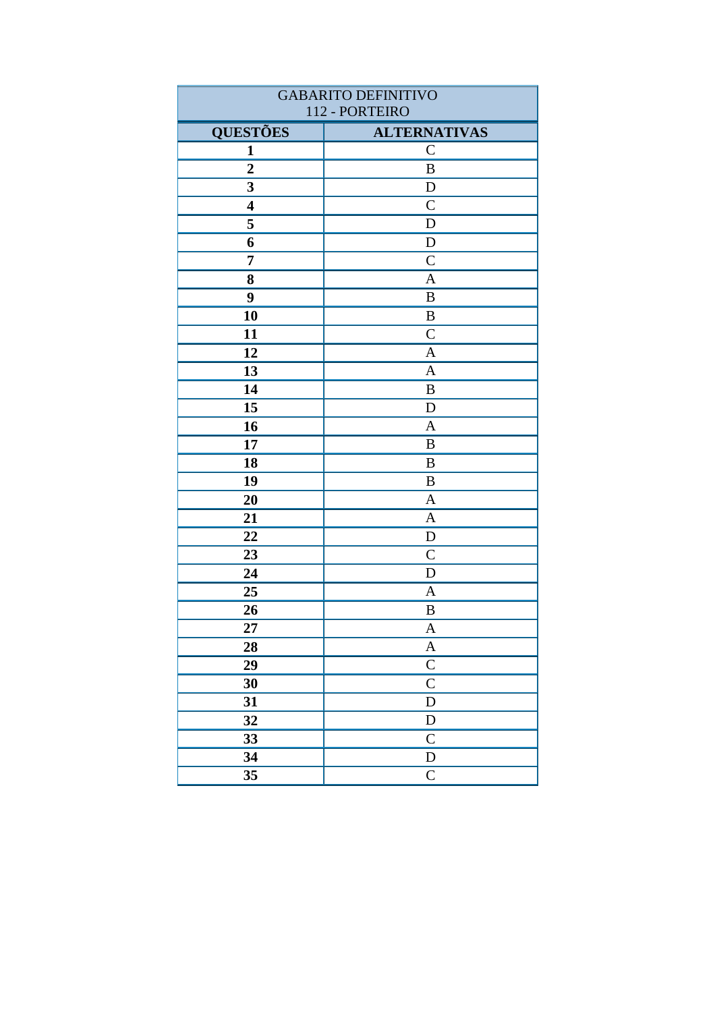| <b>GABARITO DEFINITIVO</b> |                     |
|----------------------------|---------------------|
|                            | 112 - PORTEIRO      |
| <b>QUESTÕES</b>            | <b>ALTERNATIVAS</b> |
| 1                          | $\mathbf C$         |
| $\boldsymbol{2}$           | B                   |
| $\mathbf{3}$               | D                   |
| $\overline{\mathbf{4}}$    | $\mathsf{C}$        |
| 5                          | $\mathbf D$         |
| 6                          | ${\bf D}$           |
| $\overline{7}$             | $\mathcal{C}$       |
| 8                          | A                   |
| 9                          | $\, {\bf B}$        |
| 10                         | B                   |
| 11                         | $\mathcal{C}$       |
| 12                         | $\mathbf{A}$        |
| 13                         | $\mathbf{A}$        |
| 14                         | B                   |
| 15                         | $\mathbf D$         |
| 16                         | $\mathbf{A}$        |
| 17                         | B                   |
| 18                         | $\bf{B}$            |
| 19                         | B                   |
| 20                         | $\mathbf{A}$        |
| 21                         | $\mathbf{A}$        |
| 22                         | D                   |
| 23                         | $\mathcal{C}$       |
| 24                         | $\mathbf D$         |
| 25                         | A                   |
| 26                         | B                   |
| 27                         | $\mathbf{A}$        |
| 28                         | $\boldsymbol{A}$    |
| 29                         | $\overline{C}$      |
| 30                         | $\mathsf{C}$        |
| 31                         | $\mathbf D$         |
| 32                         | ${\rm D}$           |
| 33                         | $\overline{C}$      |
| 34                         | ${\bf D}$           |
| 35                         | $\overline{C}$      |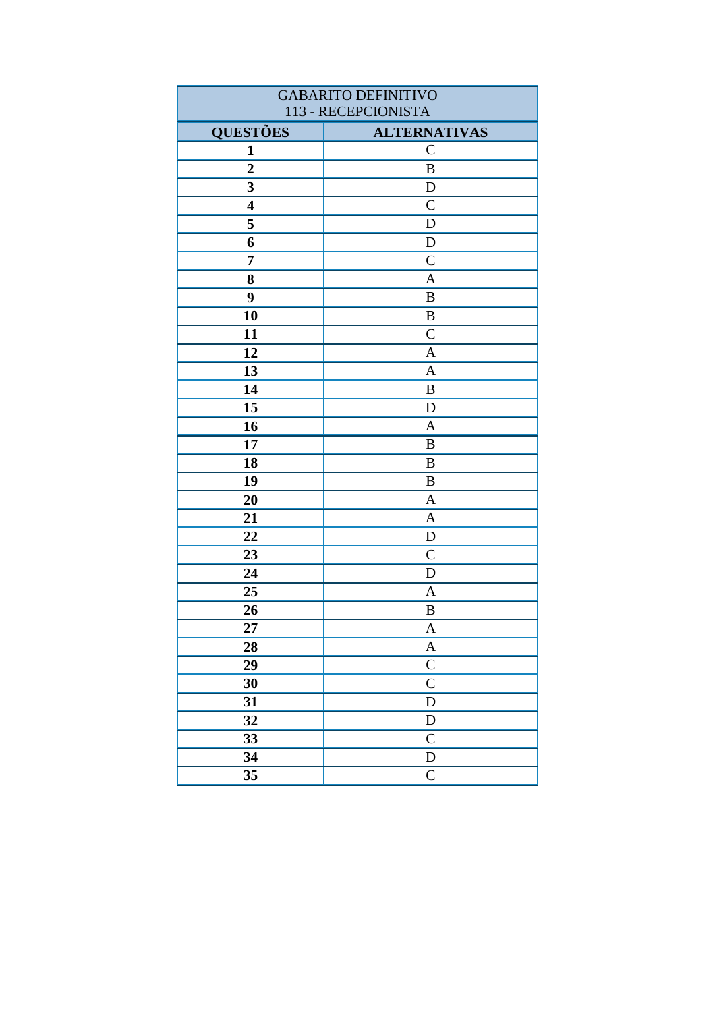| <b>GABARITO DEFINITIVO</b> |                           |
|----------------------------|---------------------------|
| 113 - RECEPCIONISTA        |                           |
| <b>QUESTÕES</b>            | <b>ALTERNATIVAS</b>       |
| $\mathbf{1}$               | $\mathbf C$               |
| $\overline{2}$             | $\, {\bf B}$              |
| $\overline{\mathbf{3}}$    | $\mathbf D$               |
| $\overline{\mathbf{4}}$    | $\mathsf{C}$              |
| 5                          | $\mathbf D$               |
| 6                          | ${\bf D}$                 |
| $\overline{7}$             | $\mathcal{C}$             |
| 8                          | A                         |
| 9                          | $\, {\bf B}$              |
| 10                         | B                         |
| 11                         | $\overline{C}$            |
| 12                         | $\mathbf{A}$              |
| 13                         | $\mathbf{A}$              |
| 14                         | B                         |
| 15                         | $\mathbf D$               |
| 16                         | $\mathbf{A}$              |
| 17                         | B                         |
| 18                         | $\bf{B}$                  |
| 19                         | B                         |
| 20                         | $\mathbf{A}$              |
| 21                         | $\mathbf{A}$              |
| 22                         | $\mathbf D$               |
| 23                         | $\mathcal{C}$             |
| 24                         | $\mathbf D$               |
| 25                         | $\mathbf{A}$              |
| 26                         | $\, {\bf B}$              |
| 27                         | $\boldsymbol{A}$          |
| 28                         | $\boldsymbol{A}$          |
| 29                         | $\overline{C}$            |
| 30                         | $\overline{\overline{C}}$ |
| 31                         | D                         |
| 32                         | ${\bf D}$                 |
| 33                         | $\mathbf C$               |
| 34                         | ${\bf D}$                 |
| 35                         | $\mathsf{C}$              |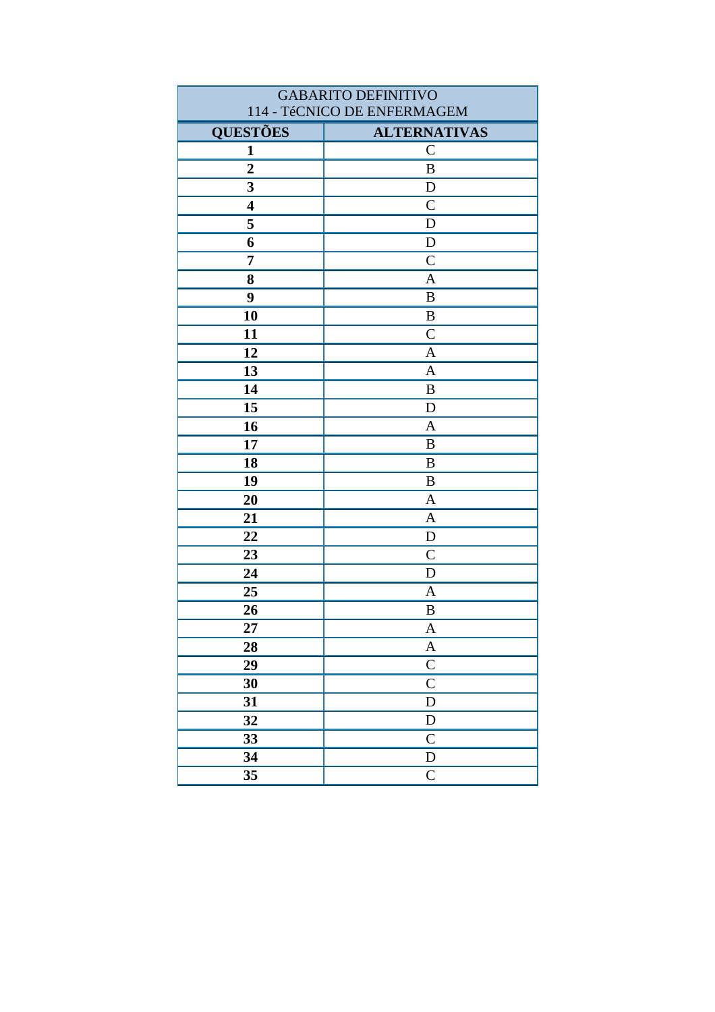| <b>GABARITO DEFINITIVO</b>  |                     |
|-----------------------------|---------------------|
| 114 - TéCNICO DE ENFERMAGEM |                     |
| <b>QUESTÕES</b>             | <b>ALTERNATIVAS</b> |
| 1                           | $\mathsf{C}$        |
| $\overline{2}$              | $\, {\bf B}$        |
| 3                           | $\mathbf D$         |
| $\overline{\mathbf{4}}$     | $\overline{C}$      |
| 5                           | D                   |
| 6                           | ${\bf D}$           |
| $\overline{7}$              | $\overline{C}$      |
| 8                           | $\overline{A}$      |
| 9                           | $\boldsymbol{B}$    |
| 10                          | $\, {\bf B}$        |
| 11                          | $\mathcal{C}$       |
| 12                          | $\mathbf{A}$        |
| 13                          | $\mathbf{A}$        |
| 14                          | B                   |
| 15                          | D                   |
| 16                          | $\mathbf{A}$        |
| 17                          | $\, {\bf B}$        |
| 18                          | B                   |
| 19                          | $\boldsymbol{B}$    |
| 20                          | $\mathbf{A}$        |
| 21                          | $\mathbf{A}$        |
| 22                          | D                   |
| 23                          | $\mathcal{C}$       |
| 24                          | $\mathbf D$         |
| 25                          | $\mathbf{A}$        |
| 26                          | $\, {\bf B}$        |
| 27                          | A                   |
| 28                          | $\boldsymbol{A}$    |
| 29                          | $\mathbf C$         |
| 30                          | $\overline{C}$      |
| 31                          | ${\bf D}$           |
| 32                          | ${\rm D}$           |
| 33                          | $\mathbf C$         |
| 34                          | ${\rm D}$           |
| 35                          | $\mathsf{C}$        |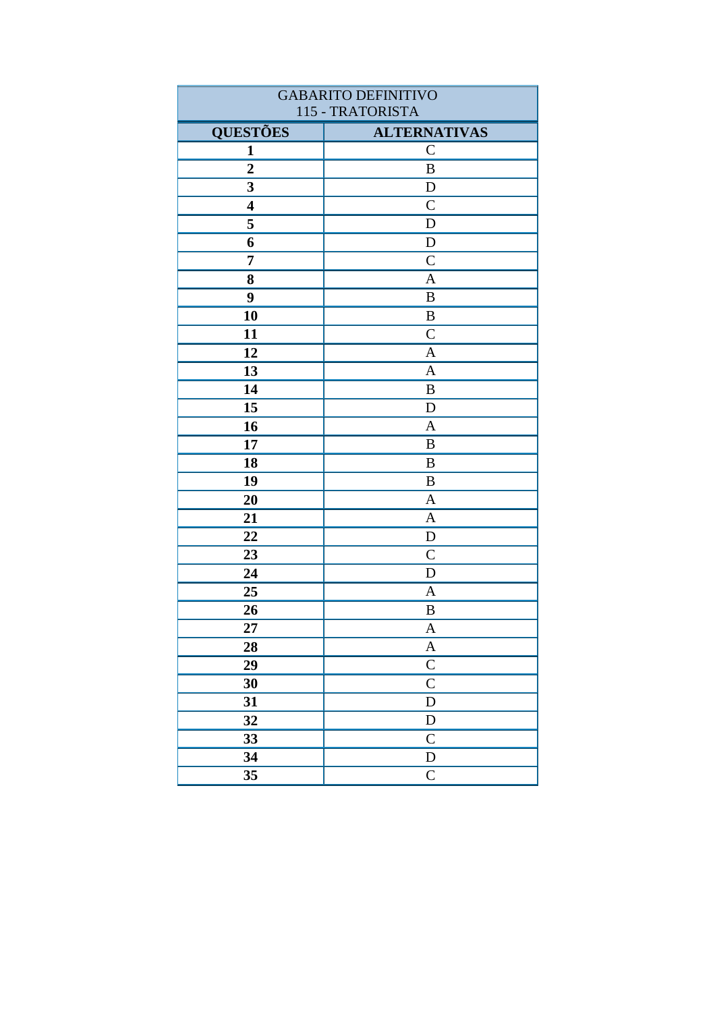| <b>GABARITO DEFINITIVO</b> |                           |
|----------------------------|---------------------------|
| 115 - TRATORISTA           |                           |
| <b>QUESTÕES</b>            | <b>ALTERNATIVAS</b>       |
| $\mathbf{1}$               | $\mathbf C$               |
| $\overline{2}$             | $\, {\bf B}$              |
| $\overline{\mathbf{3}}$    | D                         |
| $\overline{\mathbf{4}}$    | $\mathsf{C}$              |
| 5                          | $\mathbf D$               |
| 6                          | ${\bf D}$                 |
| $\overline{7}$             | $\mathcal{C}$             |
| 8                          | A                         |
| 9                          | $\, {\bf B}$              |
| 10                         | B                         |
| 11                         | $\overline{C}$            |
| 12                         | $\mathbf{A}$              |
| 13                         | $\mathbf{A}$              |
| 14                         | B                         |
| 15                         | ${\bf D}$                 |
| 16                         | $\mathbf{A}$              |
| 17                         | B                         |
| 18                         | B                         |
| 19                         | B                         |
| 20                         | $\mathbf{A}$              |
| 21                         | $\mathbf{A}$              |
| 22                         | D                         |
| 23                         | $\mathcal{C}$             |
| 24                         | $\mathbf D$               |
| 25                         | $\mathbf{A}$              |
| 26                         | $\, {\bf B}$              |
| 27                         | $\boldsymbol{A}$          |
| 28                         | $\boldsymbol{A}$          |
| 29                         | $\overline{C}$            |
| 30                         | $\overline{\overline{C}}$ |
| 31                         | D                         |
| 32                         | ${\bf D}$                 |
| 33                         | $\mathbf C$               |
| 34                         | ${\bf D}$                 |
| 35                         | $\mathsf{C}$              |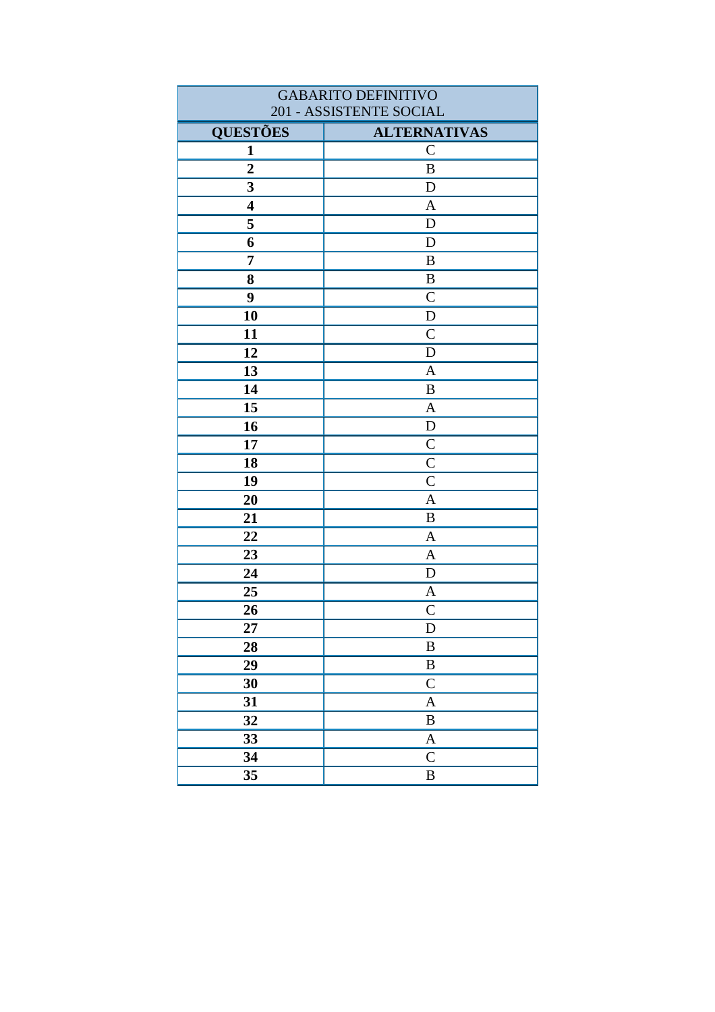| <b>GABARITO DEFINITIVO</b> |                           |
|----------------------------|---------------------------|
| 201 - ASSISTENTE SOCIAL    |                           |
| <b>QUESTÕES</b>            | <b>ALTERNATIVAS</b>       |
| 1                          | $\mathcal{C}$             |
| $\overline{2}$             | $\, {\bf B}$              |
| 3                          | D                         |
| $\overline{\mathbf{4}}$    | $\mathbf{A}$              |
| 5                          | D                         |
| 6                          | $\mathbf D$               |
| $\overline{7}$             | $\, {\bf B}$              |
| 8                          | $\, {\bf B}$              |
| 9                          | $\mathcal{C}$             |
| 10                         | $\mathbf D$               |
| 11                         | $\overline{C}$            |
| 12                         | $\mathbf D$               |
| 13                         | $\mathbf{A}$              |
| 14                         | B                         |
| 15                         | $\mathbf{A}$              |
| 16                         | $\mathbf D$               |
| 17                         | $\mathsf{C}$              |
| 18                         | $\mathcal{C}$             |
| 19                         | $\mathsf{C}$              |
| 20                         | $\mathbf{A}$              |
| 21                         | B                         |
| 22                         | $\mathbf{A}$              |
| 23                         | $\mathbf{A}$              |
| 24                         | $\mathbf D$               |
| 25                         | A                         |
| 26                         | $\mathbf C$               |
| 27                         | D                         |
| 28                         | $\, {\bf B}$              |
| 29                         | $\, {\bf B}$              |
| 30                         | $\mathsf{C}$              |
| 31                         | $\boldsymbol{A}$          |
| 32                         | $\, {\bf B}$              |
| 33                         | $\boldsymbol{\mathsf{A}}$ |
| 34                         | $\mathsf{C}$              |
| 35                         | $\, {\bf B}$              |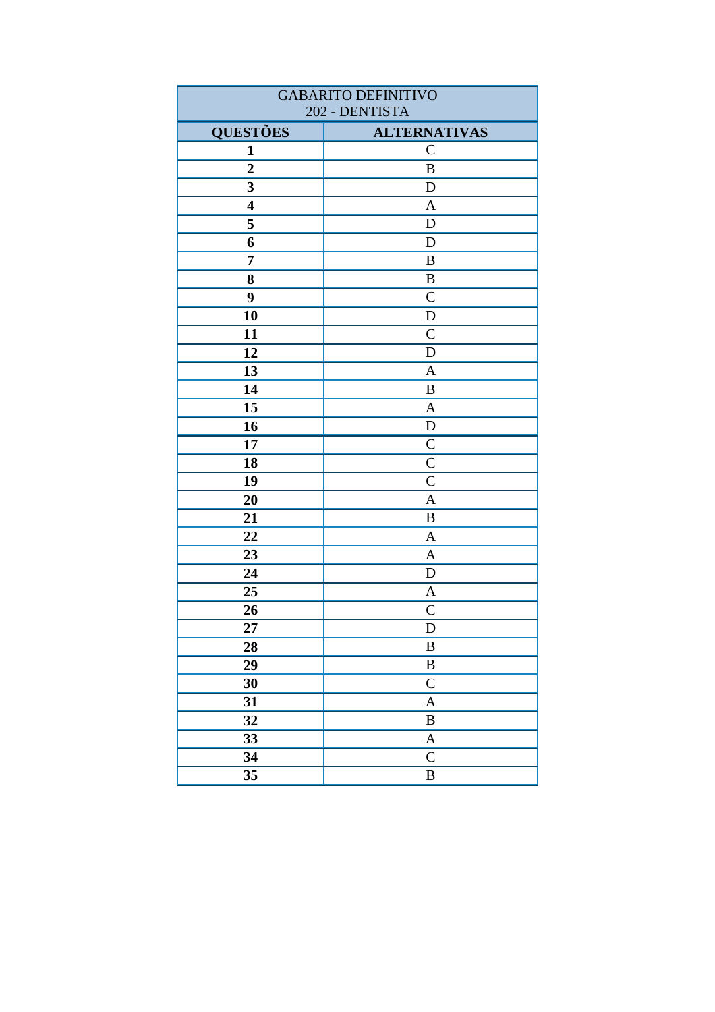| <b>GABARITO DEFINITIVO</b> |                           |
|----------------------------|---------------------------|
| 202 - DENTISTA             |                           |
| <b>QUESTÕES</b>            | <b>ALTERNATIVAS</b>       |
| 1                          | $\mathbf C$               |
| $\boldsymbol{2}$           | B                         |
| $\mathbf{3}$               | D                         |
| $\overline{\mathbf{4}}$    | $\mathbf{A}$              |
| 5                          | $\mathbf D$               |
| 6                          | $\mathbf D$               |
| $\overline{7}$             | B                         |
| 8                          | $\, {\bf B}$              |
| 9                          | $\mathcal{C}$             |
| 10                         | D                         |
| 11                         | $\mathcal{C}$             |
| 12                         | $\mathbf D$               |
| 13                         | $\mathbf{A}$              |
| 14                         | B                         |
| 15                         | $\boldsymbol{\mathsf{A}}$ |
| 16                         | $\mathbf D$               |
| 17                         | $\mathcal{C}$             |
| 18                         | $\overline{C}$            |
| 19                         | $\overline{C}$            |
| 20                         | $\overline{A}$            |
| 21                         | B                         |
| 22                         | $\mathbf{A}$              |
| 23                         | A                         |
| 24                         | $\mathbf D$               |
| 25                         | $\mathbf{A}$              |
| 26                         | $\mathsf{C}$              |
| 27                         | $\mathbf D$               |
| 28                         | $\, {\bf B}$              |
| 29                         | $\, {\bf B}$              |
| 30                         | $\mathsf{C}$              |
| 31                         | $\boldsymbol{A}$          |
| 32                         | $\, {\bf B}$              |
| 33                         | $\boldsymbol{A}$          |
| 34                         | $\mathsf{C}$              |
| 35                         | $\, {\bf B}$              |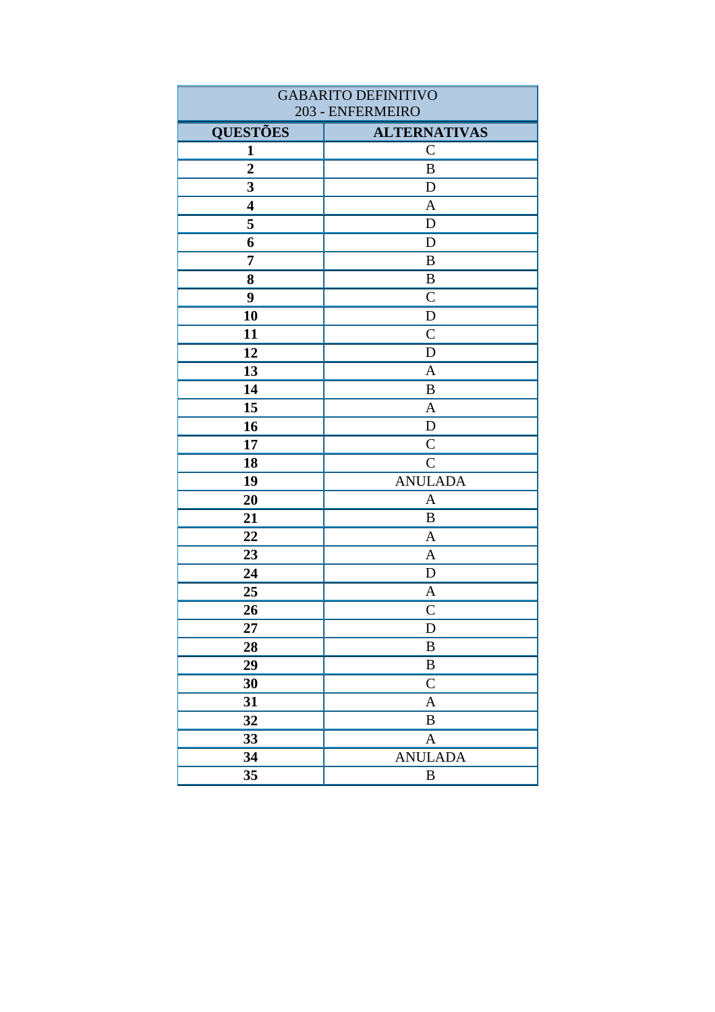| <b>GABARITO DEFINITIVO</b> |                     |
|----------------------------|---------------------|
| 203 - ENFERMEIRO           |                     |
| <b>QUESTÕES</b>            | <b>ALTERNATIVAS</b> |
| $\mathbf{1}$               | $\mathbf C$         |
| $\overline{2}$             | $\, {\bf B}$        |
| 3                          | D                   |
| $\overline{\mathbf{4}}$    | $\mathbf{A}$        |
| 5                          | $\mathbf D$         |
| 6                          | $\mathbf D$         |
| 7                          | B                   |
| 8                          | B                   |
| 9                          | $\overline{C}$      |
| 10                         | D                   |
| 11                         | $\overline{C}$      |
| 12                         | D                   |
| 13                         | $\mathbf{A}$        |
| 14                         | B                   |
| 15                         | $\mathbf{A}$        |
| 16                         | ${\bf D}$           |
| 17                         | $\mathsf{C}$        |
| 18                         | $\mathcal{C}$       |
| 19                         | <b>ANULADA</b>      |
| 20                         | $\mathbf{A}$        |
| 21                         | B                   |
| 22                         | $\mathbf{A}$        |
| 23                         | $\mathbf{A}$        |
| 24                         | $\mathbf D$         |
| 25                         | A                   |
| 26                         | $\mathsf{C}$        |
| 27                         | $\mathbf D$         |
| 28                         | $\, {\bf B}$        |
| 29                         | $\, {\bf B}$        |
| 30                         | $\mathsf{C}$        |
| 31                         | $\mathbf{A}$        |
| 32                         | $\, {\bf B}$        |
| 33                         | $\boldsymbol{A}$    |
| 34                         | <b>ANULADA</b>      |
| 35                         | $\, {\bf B}$        |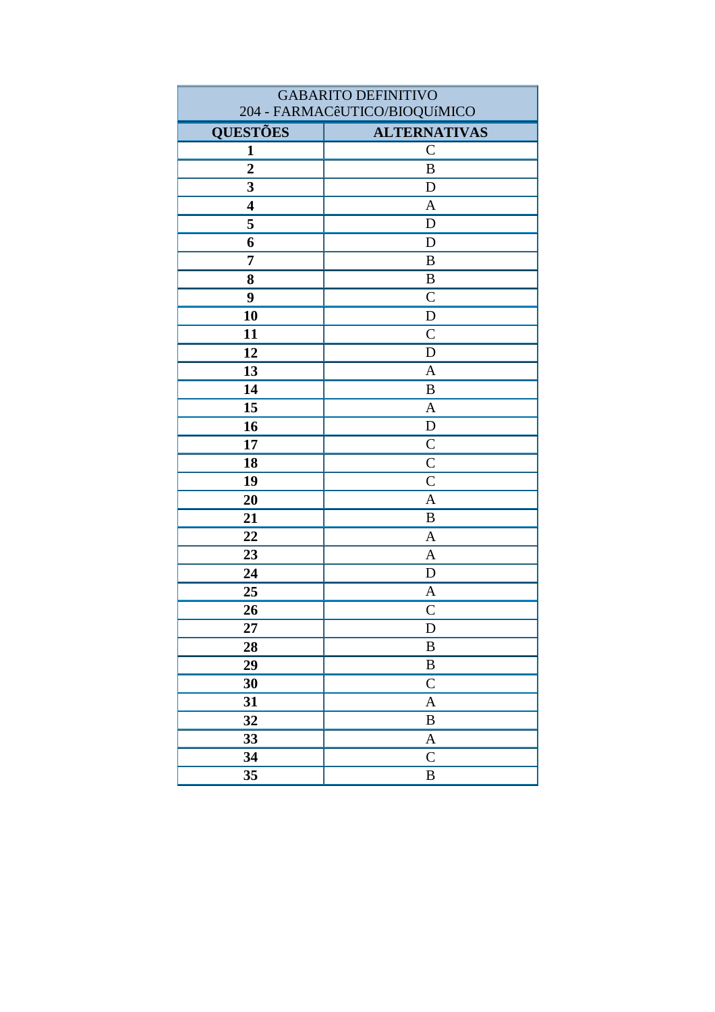| <b>GABARITO DEFINITIVO</b> |                               |
|----------------------------|-------------------------------|
|                            | 204 - FARMACêUTICO/BIOQUíMICO |
| <b>QUESTÕES</b>            | <b>ALTERNATIVAS</b>           |
| $\mathbf{1}$               | $\mathcal{C}$                 |
| $\overline{2}$             | $\, {\bf B}$                  |
| 3                          | D                             |
| $\overline{\mathbf{4}}$    | $\mathbf{A}$                  |
| 5                          | D                             |
| 6                          | D                             |
| 7                          | $\bf{B}$                      |
| 8                          | B                             |
| 9                          | $\mathcal{C}$                 |
| 10                         | ${\bf D}$                     |
| 11                         | $\mathcal{C}$                 |
| 12                         | $\mathbf D$                   |
| 13                         | $\mathbf{A}$                  |
| 14                         | $\, {\bf B}$                  |
| 15                         | $\overline{A}$                |
| 16                         | D                             |
| 17                         | $\overline{C}$                |
| 18                         | $\overline{C}$                |
| 19                         | $\mathsf{C}$                  |
| 20                         | $\mathbf{A}$                  |
| 21                         | $\bf{B}$                      |
| 22                         | $\mathbf{A}$                  |
| 23                         | $\mathbf{A}$                  |
| 24                         | D                             |
| 25                         | $\mathbf{A}$                  |
| 26                         | $\overline{C}$                |
| 27                         | D                             |
| 28                         | $\, {\bf B}$                  |
| 29                         | $\, {\bf B}$                  |
| 30                         | ${\bf C}$                     |
| 31                         | $\mathbf{A}$                  |
| 32                         | $\, {\bf B}$                  |
| 33                         | $\boldsymbol{A}$              |
| 34                         | $\mathsf{C}$                  |
| 35                         | $\, {\bf B}$                  |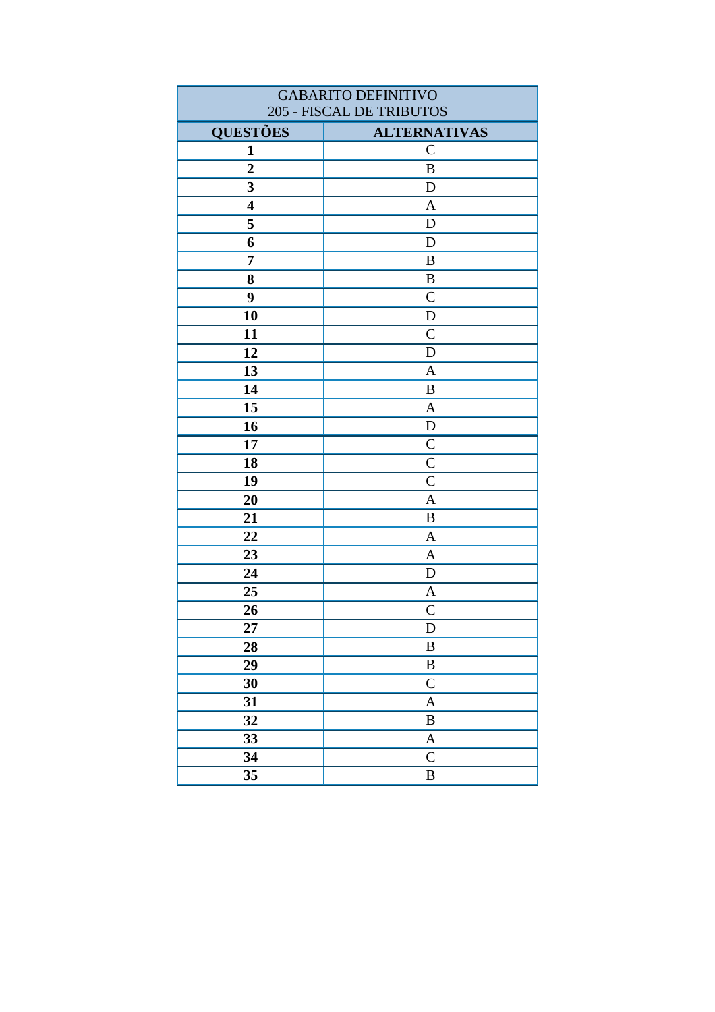| <b>GABARITO DEFINITIVO</b> |                           |
|----------------------------|---------------------------|
| 205 - FISCAL DE TRIBUTOS   |                           |
| <b>QUESTÕES</b>            | <b>ALTERNATIVAS</b>       |
| 1                          | $\mathcal{C}$             |
| $\overline{2}$             | $\, {\bf B}$              |
| 3                          | D                         |
| $\overline{\mathbf{4}}$    | $\mathbf{A}$              |
| 5                          | D                         |
| 6                          | $\mathbf D$               |
| $\overline{7}$             | $\, {\bf B}$              |
| 8                          | $\, {\bf B}$              |
| 9                          | $\mathcal{C}$             |
| 10                         | $\mathbf D$               |
| 11                         | $\overline{C}$            |
| 12                         | $\mathbf D$               |
| 13                         | $\overline{A}$            |
| 14                         | $\bf{B}$                  |
| 15                         | $\mathbf{A}$              |
| 16                         | $\mathbf D$               |
| 17                         | $\mathbf C$               |
| 18                         | $\mathcal{C}$             |
| 19                         | $\mathsf{C}$              |
| 20                         | $\mathbf{A}$              |
| 21                         | B                         |
| 22                         | $\mathbf{A}$              |
| 23                         | $\mathbf{A}$              |
| 24                         | $\mathbf D$               |
| 25                         | A                         |
| 26                         | $\mathsf{C}$              |
| 27                         | D                         |
| 28                         | $\, {\bf B}$              |
| 29                         | $\, {\bf B}$              |
| 30                         | $\mathsf{C}$              |
| 31                         | $\boldsymbol{A}$          |
| 32                         | $\, {\bf B}$              |
| 33                         | $\boldsymbol{\mathsf{A}}$ |
| 34                         | $\mathsf{C}$              |
| 35                         | $\, {\bf B}$              |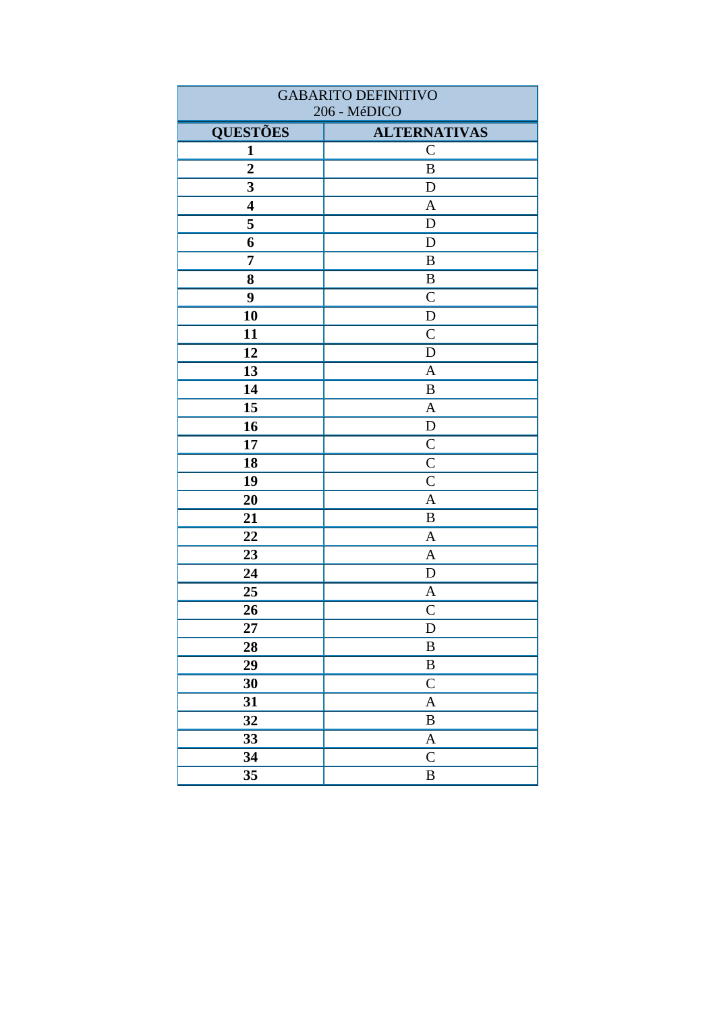| <b>GABARITO DEFINITIVO</b> |                           |
|----------------------------|---------------------------|
|                            | 206 - MéDICO              |
| <b>QUESTÕES</b>            | <b>ALTERNATIVAS</b>       |
| 1                          | $\mathbf C$               |
| $\boldsymbol{2}$           | B                         |
| $\mathbf{3}$               | D                         |
| $\overline{\mathbf{4}}$    | $\mathbf{A}$              |
| 5                          | $\mathbf D$               |
| 6                          | $\mathbf D$               |
| $\overline{7}$             | B                         |
| 8                          | $\, {\bf B}$              |
| 9                          | $\mathcal{C}$             |
| 10                         | D                         |
| 11                         | $\mathcal{C}$             |
| 12                         | $\mathbf D$               |
| 13                         | $\mathbf{A}$              |
| 14                         | B                         |
| 15                         | $\boldsymbol{\mathsf{A}}$ |
| 16                         | ${\bf D}$                 |
| 17                         | $\mathcal{C}$             |
| 18                         | $\overline{C}$            |
| 19                         | $\overline{C}$            |
| 20                         | $\overline{A}$            |
| 21                         | B                         |
| 22                         | $\mathbf{A}$              |
| 23                         | A                         |
| 24                         | ${\bf D}$                 |
| 25                         | $\mathbf{A}$              |
| 26                         | $\mathsf{C}$              |
| 27                         | $\mathbf D$               |
| 28                         | $\, {\bf B}$              |
| 29                         | $\, {\bf B}$              |
| 30                         | $\mathsf{C}$              |
| 31                         | $\boldsymbol{\mathsf{A}}$ |
| 32                         | $\, {\bf B}$              |
| 33                         | $\boldsymbol{A}$          |
| 34                         | $\mathsf{C}$              |
| 35                         | $\, {\bf B}$              |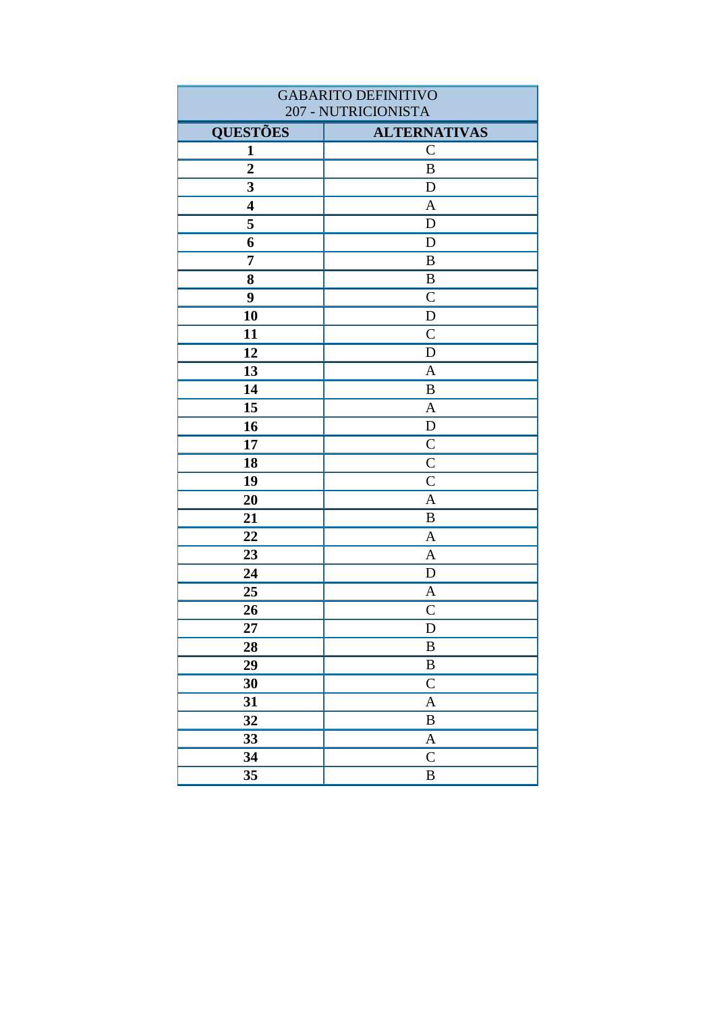| <b>GABARITO DEFINITIVO</b> |                     |
|----------------------------|---------------------|
| 207 - NUTRICIONISTA        |                     |
| <b>QUESTÕES</b>            | <b>ALTERNATIVAS</b> |
| $\mathbf{1}$               | $\mathbf C$         |
| $\overline{2}$             | $\, {\bf B}$        |
| $\overline{\mathbf{3}}$    | D                   |
| $\overline{\mathbf{4}}$    | $\mathbf{A}$        |
| 5                          | $\mathbf D$         |
| 6                          | $\mathbf D$         |
| $\overline{7}$             | $\, {\bf B}$        |
| 8                          | $\, {\bf B}$        |
| 9                          | $\overline{C}$      |
| 10                         | D                   |
| 11                         | $\overline{C}$      |
| 12                         | D                   |
| 13                         | $\mathbf{A}$        |
| 14                         | B                   |
| 15                         | $\mathbf{A}$        |
| 16                         | ${\bf D}$           |
| 17                         | $\mathsf{C}$        |
| 18                         | $\mathcal{C}$       |
| 19                         | $\overline{C}$      |
| 20                         | $\overline{A}$      |
| 21                         | B                   |
| 22                         | $\mathbf{A}$        |
| 23                         | $\mathbf{A}$        |
| 24                         | $\mathbf D$         |
| 25                         | $\mathbf{A}$        |
| 26                         | $\mathsf{C}$        |
| 27                         | $\mathbf D$         |
| 28                         | $\, {\bf B}$        |
| 29                         | $\, {\bf B}$        |
| 30                         | $\mathsf{C}$        |
| 31                         | $\mathbf{A}$        |
| 32                         | $\, {\bf B}$        |
| 33                         | $\boldsymbol{A}$    |
| 34                         | $\mathsf{C}$        |
| 35                         | $\, {\bf B}$        |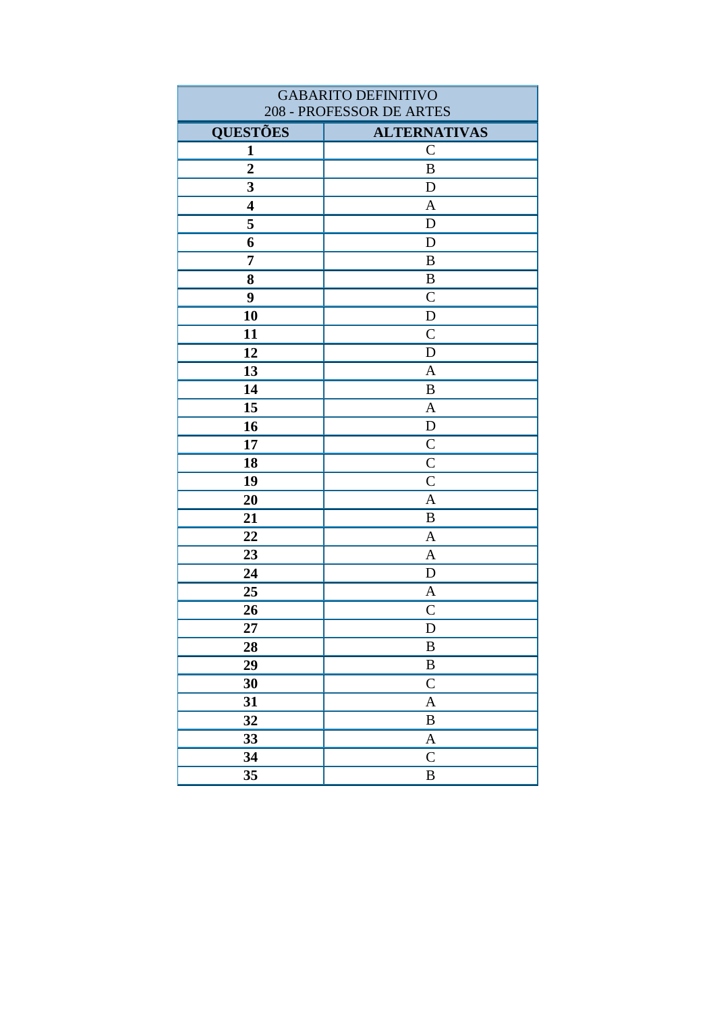| <b>GABARITO DEFINITIVO</b> |                           |
|----------------------------|---------------------------|
| 208 - PROFESSOR DE ARTES   |                           |
| <b>QUESTÕES</b>            | <b>ALTERNATIVAS</b>       |
| $\mathbf{1}$               | $\mathsf{C}$              |
| $\overline{2}$             | $\, {\bf B}$              |
| 3                          | $\mathbf D$               |
| $\overline{\mathbf{4}}$    | $\mathbf{A}$              |
| 5                          | D                         |
| 6                          | D                         |
| $\overline{7}$             | $\bf{B}$                  |
| 8                          | $\boldsymbol{B}$          |
| 9                          | $\overline{C}$            |
| 10                         | ${\bf D}$                 |
| 11                         | $\mathcal{C}$             |
| 12                         | $\mathbf D$               |
| 13                         | $\mathbf{A}$              |
| 14                         | $\boldsymbol{B}$          |
| 15                         | $\overline{A}$            |
| 16                         | $\mathbf D$               |
| 17                         | $\mathbf C$               |
| 18                         | $\mathcal{C}$             |
| 19                         | $\mathsf{C}$              |
| 20                         | $\overline{A}$            |
| 21                         | $\bf{B}$                  |
| 22                         | A                         |
| 23                         | $\mathbf{A}$              |
| 24                         | $\mathbf D$               |
| 25                         | $\mathbf{A}$              |
| 26                         | $\mathcal{C}$             |
| 27                         | D                         |
| 28                         | $\, {\bf B}$              |
| 29                         | $\, {\bf B}$              |
| 30                         | $\mathsf C$               |
| 31                         | $\mathbf{A}$              |
| 32                         | $\, {\bf B}$              |
| 33                         | $\boldsymbol{\mathsf{A}}$ |
| 34                         | $\mathsf{C}$              |
| 35                         | $\, {\bf B}$              |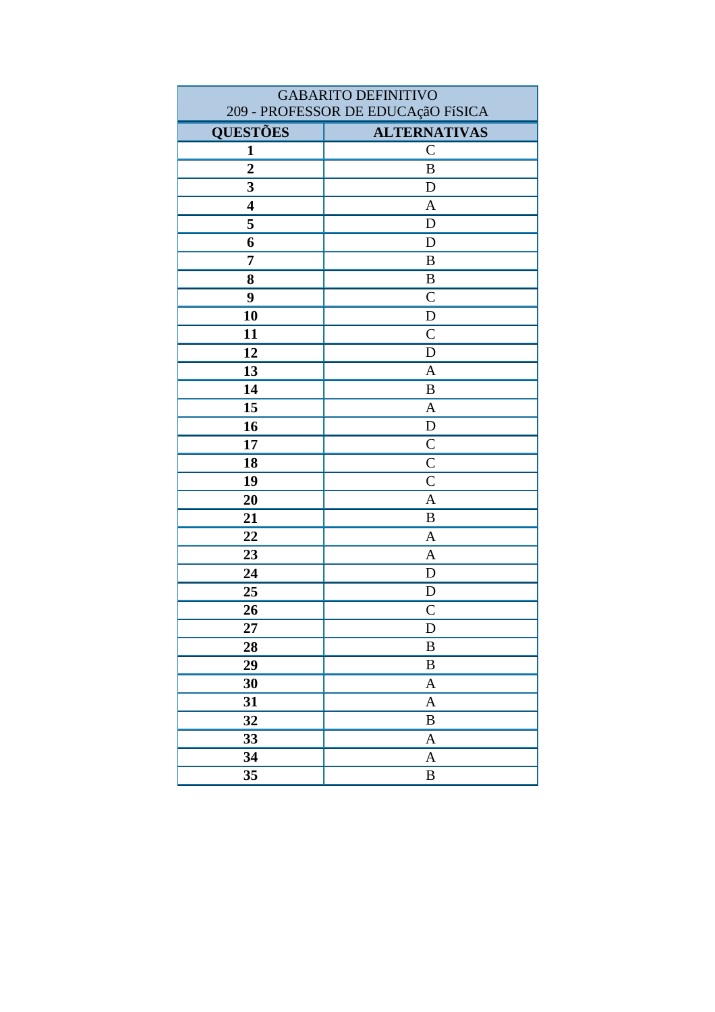| <b>GABARITO DEFINITIVO</b>         |                     |
|------------------------------------|---------------------|
| 209 - PROFESSOR DE EDUCAçãO FíSICA |                     |
| <b>QUESTÕES</b>                    | <b>ALTERNATIVAS</b> |
| $\mathbf{1}$                       | $\mathcal{C}$       |
| $\overline{2}$                     | $\bf{B}$            |
| 3<br>$\overline{\mathbf{4}}$       | D                   |
| 5                                  | $\mathbf{A}$<br>D   |
|                                    | D                   |
| 6<br>7                             | $\bf{B}$            |
|                                    |                     |
| 8                                  | $\, {\bf B}$        |
| 9                                  | $\mathcal{C}$       |
| 10                                 | $\mathbf D$         |
| 11                                 | $\mathcal{C}$       |
| 12                                 | $\mathbf D$         |
| 13                                 | $\mathbf{A}$        |
| 14                                 | $\bf{B}$            |
| 15                                 | $\mathbf{A}$        |
| 16                                 | ${\bf D}$           |
| 17                                 | $\overline{C}$      |
| 18                                 | $\overline{C}$      |
| 19                                 | $\mathsf{C}$        |
| 20                                 | $\mathbf{A}$        |
| 21                                 | $\bf{B}$            |
| 22                                 | $\mathbf{A}$        |
| 23                                 | $\mathbf{A}$        |
| 24                                 | $\mathbf D$         |
| 25                                 | D                   |
| 26                                 | $\overline{C}$      |
| 27                                 | D                   |
| 28                                 | $\, {\bf B}$        |
| 29                                 | $\, {\bf B}$        |
| 30                                 | $\boldsymbol{A}$    |
| 31                                 | $\mathbf{A}$        |
| 32                                 | $\, {\bf B}$        |
| 33                                 | $\mathbf{A}$        |
| 34                                 | $\mathbf{A}$        |
| 35                                 | $\, {\bf B}$        |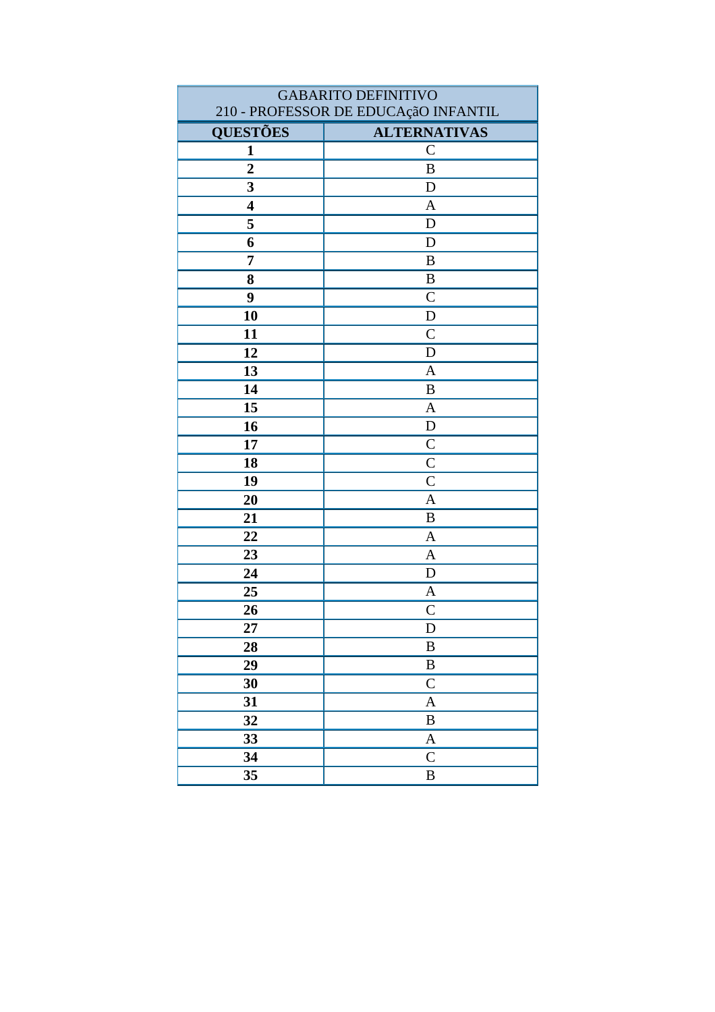| <b>GABARITO DEFINITIVO</b>           |                     |
|--------------------------------------|---------------------|
| 210 - PROFESSOR DE EDUCAçãO INFANTIL |                     |
| <b>QUESTÕES</b>                      | <b>ALTERNATIVAS</b> |
| $\mathbf{1}$                         | $\mathsf{C}$        |
| $\overline{2}$                       | $\, {\bf B}$        |
| 3                                    | ${\bf D}$           |
| $\overline{\mathbf{4}}$              | $\mathbf{A}$        |
| 5                                    | $\mathbf D$         |
| 6                                    | D                   |
| 7                                    | $\bf{B}$            |
| 8                                    | $\, {\bf B}$        |
| 9                                    | $\mathcal{C}$       |
| 10                                   | $\mathbf D$         |
| 11                                   | $\mathsf{C}$        |
| 12                                   | $\mathbf D$         |
| 13                                   | $\overline{A}$      |
| 14                                   | $\bf{B}$            |
| 15                                   | $\mathbf{A}$        |
| 16                                   | ${\rm D}$           |
| 17                                   | $\mathsf{C}$        |
| 18                                   | $\overline{C}$      |
| 19                                   | $\mathsf{C}$        |
| 20                                   | $\overline{A}$      |
| 21                                   | $\, {\bf B}$        |
| 22                                   | $\mathbf{A}$        |
| 23                                   | $\mathbf{A}$        |
| 24                                   | D                   |
| 25                                   | $\mathbf{A}$        |
| 26                                   | $\mathsf{C}$        |
| 27                                   | D                   |
| 28                                   | $\, {\bf B}$        |
| 29                                   | B                   |
| 30                                   | $\mathbf C$         |
| 31                                   | $\mathbf{A}$        |
| 32                                   | $\, {\bf B}$        |
| 33                                   | $\mathbf{A}$        |
| 34                                   | $\mathsf C$         |
| 35                                   | $\, {\bf B}$        |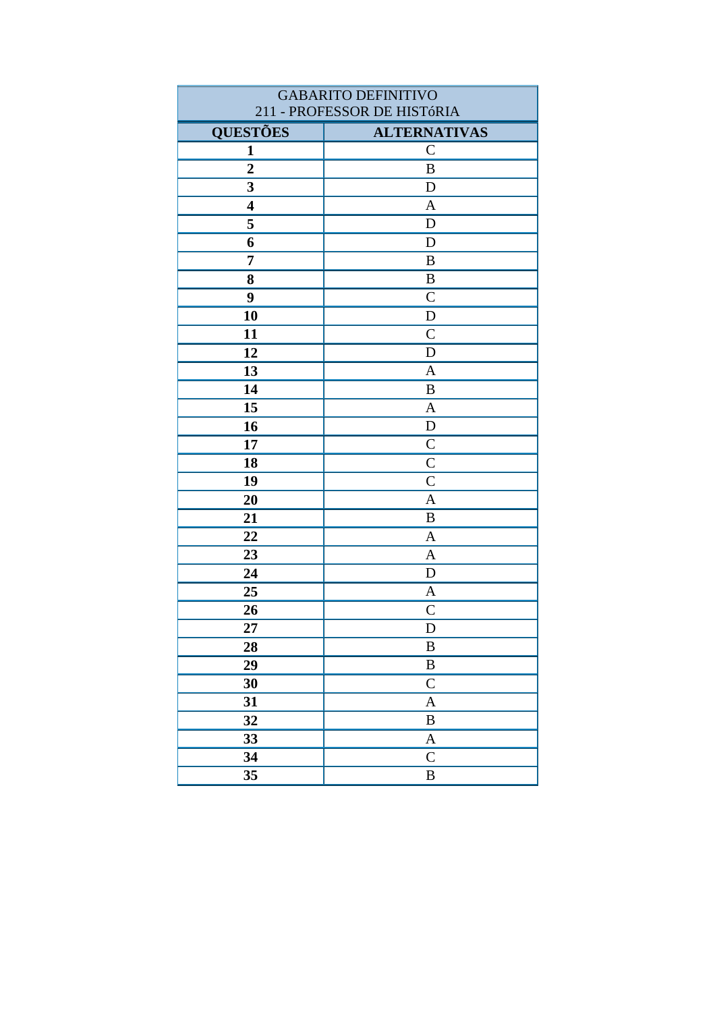| <b>GABARITO DEFINITIVO</b>  |                     |
|-----------------------------|---------------------|
| 211 - PROFESSOR DE HISTÓRIA |                     |
| <b>QUESTÕES</b>             | <b>ALTERNATIVAS</b> |
| $\mathbf{1}$                | $\mathsf{C}$        |
| $\overline{2}$              | $\, {\bf B}$        |
| 3                           | D                   |
| $\overline{\mathbf{4}}$     | $\mathbf{A}$        |
| 5                           | D                   |
| 6                           | D                   |
| 7                           | $\, {\bf B}$        |
| 8                           | B                   |
| 9                           | $\mathcal{C}$       |
| 10                          | ${\bf D}$           |
| 11                          | $\mathcal{C}$       |
| 12                          | $\mathbf D$         |
| 13                          | $\mathbf{A}$        |
| 14                          | $\, {\bf B}$        |
| 15                          | $\mathbf{A}$        |
| 16                          | D                   |
| 17                          | $\overline{C}$      |
| 18                          | $\mathcal{C}$       |
| 19                          | $\mathsf{C}$        |
| 20                          | $\mathbf{A}$        |
| 21                          | $\bf{B}$            |
| 22                          | $\mathbf{A}$        |
| 23                          | $\mathbf{A}$        |
| 24                          | D                   |
| 25                          | $\mathbf{A}$        |
| 26                          | $\overline{C}$      |
| 27                          | D                   |
| 28                          | $\, {\bf B}$        |
| 29                          | $\, {\bf B}$        |
| 30                          | ${\bf C}$           |
| 31                          | $\mathbf{A}$        |
| 32                          | $\, {\bf B}$        |
| 33                          | $\boldsymbol{A}$    |
| 34                          | $\mathsf{C}$        |
| 35                          | $\, {\bf B}$        |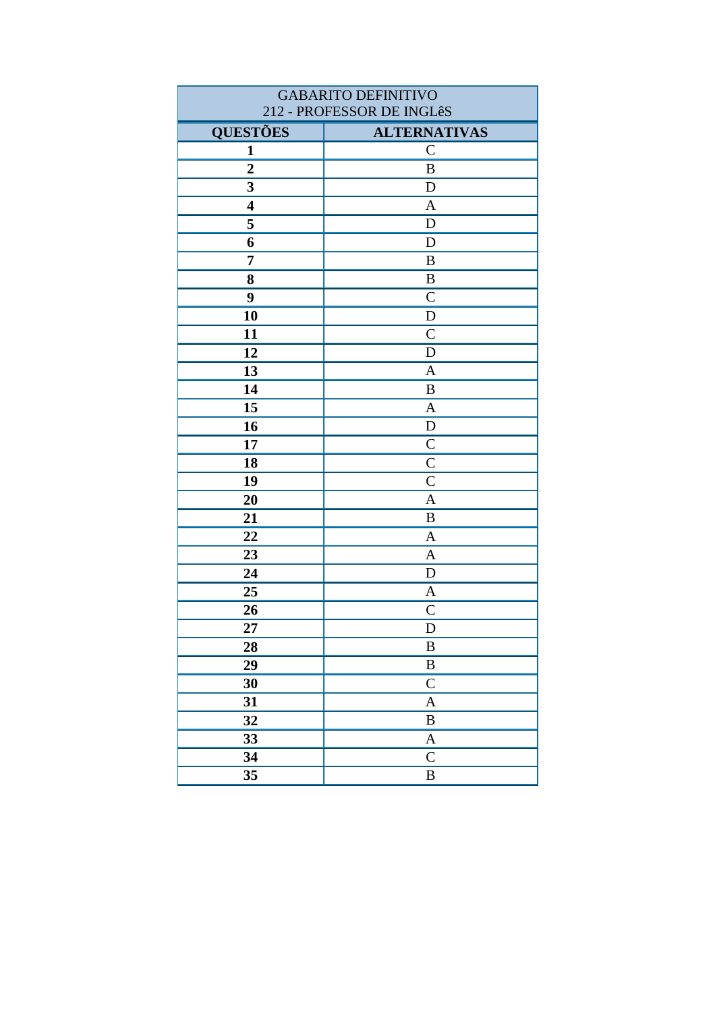| <b>GABARITO DEFINITIVO</b><br>212 - PROFESSOR DE INGLêS |                           |
|---------------------------------------------------------|---------------------------|
| <b>QUESTÕES</b>                                         | <b>ALTERNATIVAS</b>       |
| $\mathbf{1}$                                            | $\mathsf{C}$              |
| $\overline{2}$                                          | $\, {\bf B}$              |
| 3                                                       | $\mathbf D$               |
| $\overline{\mathbf{4}}$                                 | $\mathbf{A}$              |
| 5                                                       | D                         |
| 6                                                       | $\mathbf D$               |
| $\overline{7}$                                          | $\bf{B}$                  |
| 8                                                       | $\boldsymbol{B}$          |
| 9                                                       | $\mathsf{C}$              |
| 10                                                      | ${\bf D}$                 |
| 11                                                      | $\mathcal{C}$             |
| 12                                                      | $\mathbf D$               |
| 13                                                      | $\mathbf{A}$              |
| 14                                                      | $\boldsymbol{B}$          |
| 15                                                      | $\overline{A}$            |
| 16                                                      | $\mathbf D$               |
| 17                                                      | $\mathbf C$               |
| 18                                                      | $\mathcal{C}$             |
| 19                                                      | $\mathsf{C}$              |
| 20                                                      | $\overline{A}$            |
| 21                                                      | $\bf{B}$                  |
| 22                                                      | A                         |
| 23                                                      | $\mathbf{A}$              |
| 24                                                      | $\mathbf D$               |
| 25                                                      | $\mathbf{A}$              |
| 26                                                      | $\mathcal{C}$             |
| 27                                                      | D                         |
| 28                                                      | $\, {\bf B}$              |
| 29                                                      | $\, {\bf B}$              |
| 30                                                      | $\mathsf C$               |
| 31                                                      | $\mathbf{A}$              |
| 32                                                      | $\, {\bf B}$              |
| 33                                                      | $\boldsymbol{\mathsf{A}}$ |
| 34                                                      | $\mathsf{C}$              |
| 35                                                      | $\, {\bf B}$              |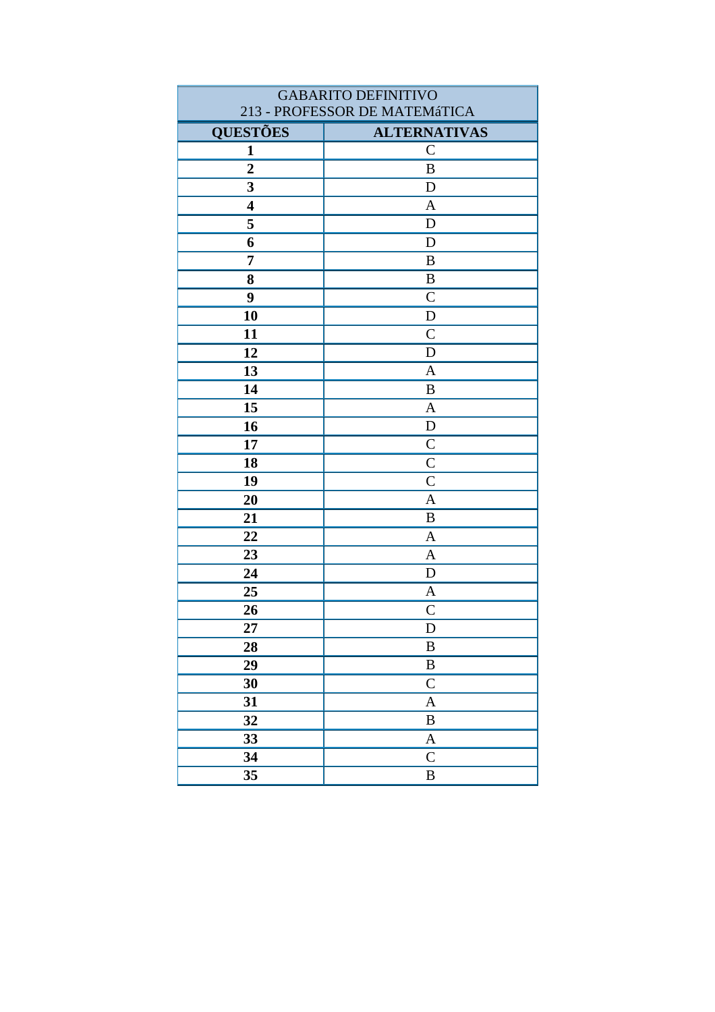| <b>GABARITO DEFINITIVO</b>    |                     |
|-------------------------------|---------------------|
| 213 - PROFESSOR DE MATEMáTICA |                     |
| <b>QUESTÕES</b>               | <b>ALTERNATIVAS</b> |
| $\mathbf{1}$                  | $\mathcal{C}$       |
| $\overline{2}$                | $\, {\bf B}$        |
| 3                             | D                   |
| $\overline{\mathbf{4}}$       | $\mathbf{A}$        |
| 5                             | $\mathbf D$         |
| 6                             | D                   |
| $\overline{7}$                | $\bf{B}$            |
| 8                             | $\, {\bf B}$        |
| 9                             | $\mathcal{C}$       |
| 10                            | $\mathbf D$         |
| 11                            | $\mathcal{C}$       |
| 12                            | $\mathbf D$         |
| 13                            | $\mathbf{A}$        |
| 14                            | B                   |
| 15                            | $\mathbf{A}$        |
| 16                            | ${\bf D}$           |
| 17                            | $\mathsf{C}$        |
| 18                            | $\overline{C}$      |
| 19                            | $\mathsf{C}$        |
| 20                            | $\mathbf{A}$        |
| 21                            | $\bf{B}$            |
| 22                            | $\mathbf{A}$        |
| 23                            | $\mathbf{A}$        |
| 24                            | D                   |
| 25                            | $\mathbf{A}$        |
| 26                            | $\mathsf{C}$        |
| 27                            | D                   |
| 28                            | $\bf{B}$            |
| 29                            | $\, {\bf B}$        |
| 30                            | $\mathbf C$         |
| 31                            | $\mathbf{A}$        |
| 32                            | $\, {\bf B}$        |
| 33                            | $\mathbf{A}$        |
| 34                            | $\mathbf C$         |
| 35                            | $\, {\bf B}$        |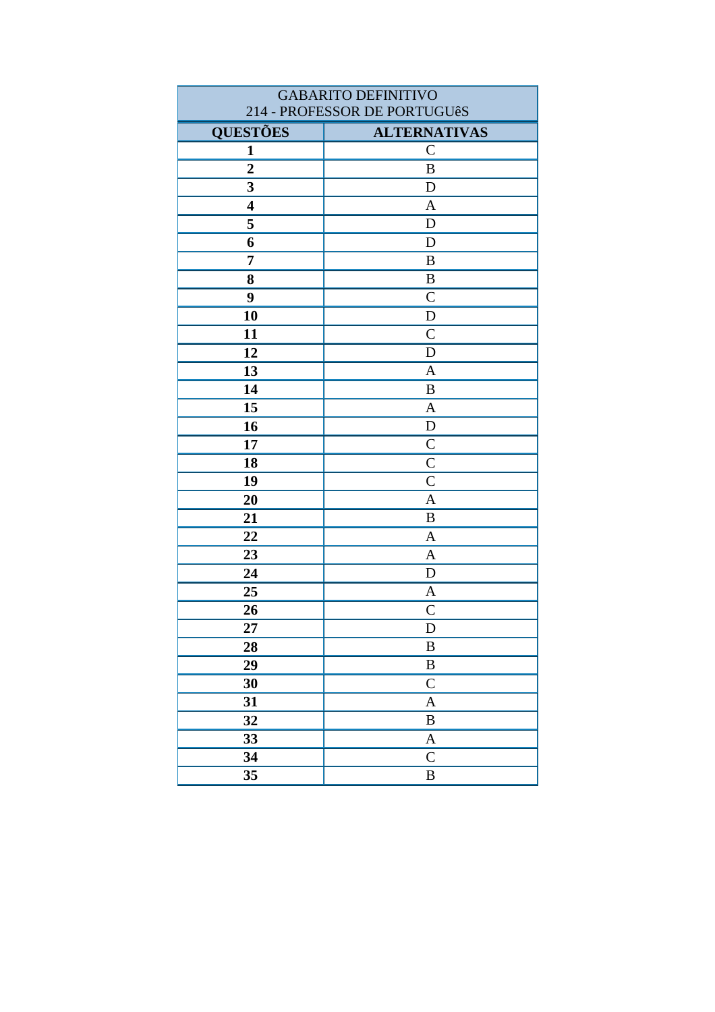| <b>GABARITO DEFINITIVO</b>   |                     |
|------------------------------|---------------------|
| 214 - PROFESSOR DE PORTUGUêS |                     |
| <b>QUESTÕES</b>              | <b>ALTERNATIVAS</b> |
| $\mathbf{1}$                 | $\mathcal{C}$       |
| $\overline{2}$               | $\, {\bf B}$        |
| 3                            | D                   |
| $\overline{\mathbf{4}}$      | $\mathbf{A}$        |
| 5                            | $\mathbf D$         |
| 6                            | D                   |
| $\overline{7}$               | $\bf{B}$            |
| 8                            | $\, {\bf B}$        |
| 9                            | $\mathcal{C}$       |
| 10                           | $\mathbf D$         |
| 11                           | $\mathcal{C}$       |
| 12                           | $\mathbf D$         |
| 13                           | $\mathbf{A}$        |
| 14                           | B                   |
| 15                           | $\mathbf{A}$        |
| 16                           | ${\bf D}$           |
| 17                           | $\mathsf{C}$        |
| 18                           | $\overline{C}$      |
| 19                           | $\mathsf{C}$        |
| 20                           | $\mathbf{A}$        |
| 21                           | $\bf{B}$            |
| 22                           | $\mathbf{A}$        |
| 23                           | $\mathbf{A}$        |
| 24                           | D                   |
| 25                           | $\mathbf{A}$        |
| 26                           | $\mathsf{C}$        |
| 27                           | D                   |
| 28                           | $\bf{B}$            |
| 29                           | $\, {\bf B}$        |
| 30                           | $\mathbf C$         |
| 31                           | $\mathbf{A}$        |
| 32                           | $\, {\bf B}$        |
| 33                           | $\mathbf{A}$        |
| 34                           | $\mathbf C$         |
| 35                           | $\, {\bf B}$        |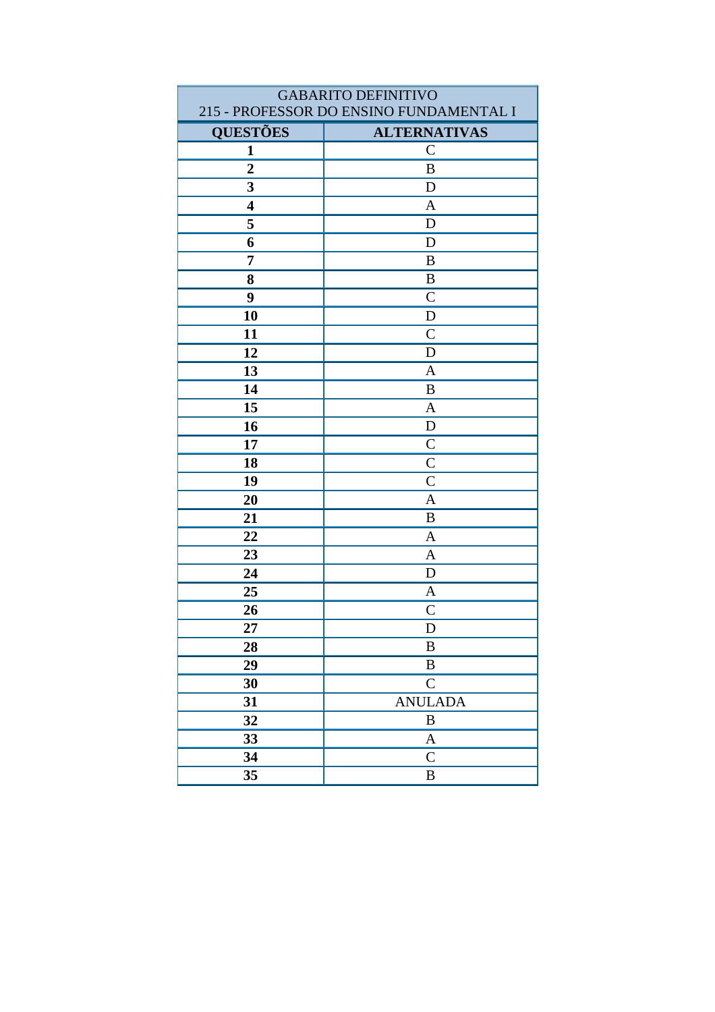| <b>GABARITO DEFINITIVO</b>              |                     |
|-----------------------------------------|---------------------|
| 215 - PROFESSOR DO ENSINO FUNDAMENTAL I |                     |
| <b>QUESTÕES</b>                         | <b>ALTERNATIVAS</b> |
| $\mathbf{1}$                            | $\overline{C}$      |
| $\overline{2}$                          | B                   |
| $\overline{\mathbf{3}}$                 | $\mathbf D$         |
| $\overline{\mathbf{4}}$                 | $\mathbf{A}$        |
| 5                                       | $\mathbf D$         |
| 6                                       | D                   |
| 7                                       | $\bf{B}$            |
| 8                                       | B                   |
| 9                                       | $\mathcal{C}$       |
| 10                                      | D                   |
| 11                                      | $\overline{C}$      |
| 12                                      | D                   |
| 13                                      | $\mathbf{A}$        |
| 14                                      | B                   |
| 15                                      | $\mathbf{A}$        |
| 16                                      | ${\bf D}$           |
| 17                                      | $\mathcal{C}$       |
| 18                                      | $\mathcal{C}$       |
| 19                                      | $\overline{C}$      |
| 20                                      | $\mathbf{A}$        |
| 21                                      | $\, {\bf B}$        |
| 22                                      | $\mathbf{A}$        |
| 23                                      | $\mathbf{A}$        |
| 24                                      | D                   |
| 25                                      | A                   |
| 26                                      | $\mathsf{C}$        |
| 27                                      | ${\bf D}$           |
| 28                                      | B                   |
| 29                                      | $\, {\bf B}$        |
| 30                                      | $\overline{C}$      |
| 31                                      | <b>ANULADA</b>      |
| 32                                      | $\, {\bf B}$        |
| 33                                      | $\mathbf{A}$        |
| 34                                      | $\mathbf C$         |
| 35                                      | B                   |